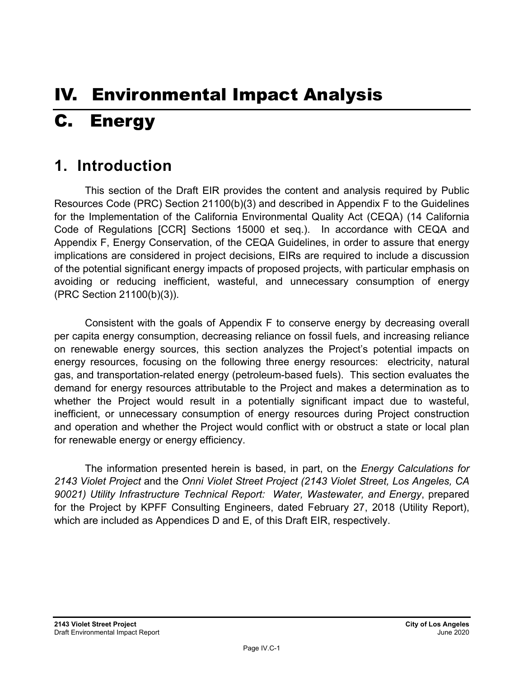# IV. Environmental Impact Analysis C. Energy

## **1. Introduction**

This section of the Draft EIR provides the content and analysis required by Public Resources Code (PRC) Section 21100(b)(3) and described in Appendix F to the Guidelines for the Implementation of the California Environmental Quality Act (CEQA) (14 California Code of Regulations [CCR] Sections 15000 et seq.). In accordance with CEQA and Appendix F, Energy Conservation, of the CEQA Guidelines, in order to assure that energy implications are considered in project decisions, EIRs are required to include a discussion of the potential significant energy impacts of proposed projects, with particular emphasis on avoiding or reducing inefficient, wasteful, and unnecessary consumption of energy (PRC Section 21100(b)(3)).

Consistent with the goals of Appendix F to conserve energy by decreasing overall per capita energy consumption, decreasing reliance on fossil fuels, and increasing reliance on renewable energy sources, this section analyzes the Project's potential impacts on energy resources, focusing on the following three energy resources: electricity, natural gas, and transportation-related energy (petroleum-based fuels). This section evaluates the demand for energy resources attributable to the Project and makes a determination as to whether the Project would result in a potentially significant impact due to wasteful, inefficient, or unnecessary consumption of energy resources during Project construction and operation and whether the Project would conflict with or obstruct a state or local plan for renewable energy or energy efficiency.

The information presented herein is based, in part, on the *Energy Calculations for 2143 Violet Project* and the *Onni Violet Street Project (2143 Violet Street, Los Angeles, CA 90021) Utility Infrastructure Technical Report: Water, Wastewater, and Energy*, prepared for the Project by KPFF Consulting Engineers, dated February 27, 2018 (Utility Report), which are included as Appendices D and E, of this Draft EIR, respectively.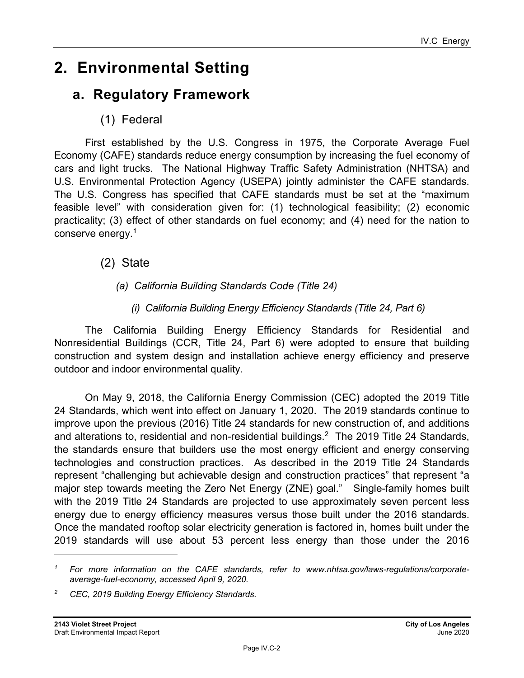## **2. Environmental Setting**

## **a. Regulatory Framework**

(1) Federal

First established by the U.S. Congress in 1975, the Corporate Average Fuel Economy (CAFE) standards reduce energy consumption by increasing the fuel economy of cars and light trucks. The National Highway Traffic Safety Administration (NHTSA) and U.S. Environmental Protection Agency (USEPA) jointly administer the CAFE standards. The U.S. Congress has specified that CAFE standards must be set at the "maximum feasible level" with consideration given for: (1) technological feasibility; (2) economic practicality; (3) effect of other standards on fuel economy; and (4) need for the nation to conserve energy.1

- (2) State
	- *(a) California Building Standards Code (Title 24)* 
		- *(i) California Building Energy Efficiency Standards (Title 24, Part 6)*

The California Building Energy Efficiency Standards for Residential and Nonresidential Buildings (CCR, Title 24, Part 6) were adopted to ensure that building construction and system design and installation achieve energy efficiency and preserve outdoor and indoor environmental quality.

On May 9, 2018, the California Energy Commission (CEC) adopted the 2019 Title 24 Standards, which went into effect on January 1, 2020. The 2019 standards continue to improve upon the previous (2016) Title 24 standards for new construction of, and additions and alterations to, residential and non-residential buildings.<sup>2</sup> The 2019 Title 24 Standards, the standards ensure that builders use the most energy efficient and energy conserving technologies and construction practices. As described in the 2019 Title 24 Standards represent "challenging but achievable design and construction practices" that represent "a major step towards meeting the Zero Net Energy (ZNE) goal." Single-family homes built with the 2019 Title 24 Standards are projected to use approximately seven percent less energy due to energy efficiency measures versus those built under the 2016 standards. Once the mandated rooftop solar electricity generation is factored in, homes built under the 2019 standards will use about 53 percent less energy than those under the 2016

*<sup>1</sup> For more information on the CAFE standards, refer to www.nhtsa.gov/laws-regulations/corporateaverage-fuel-economy, accessed April 9, 2020.* 

*<sup>2</sup> CEC, 2019 Building Energy Efficiency Standards.*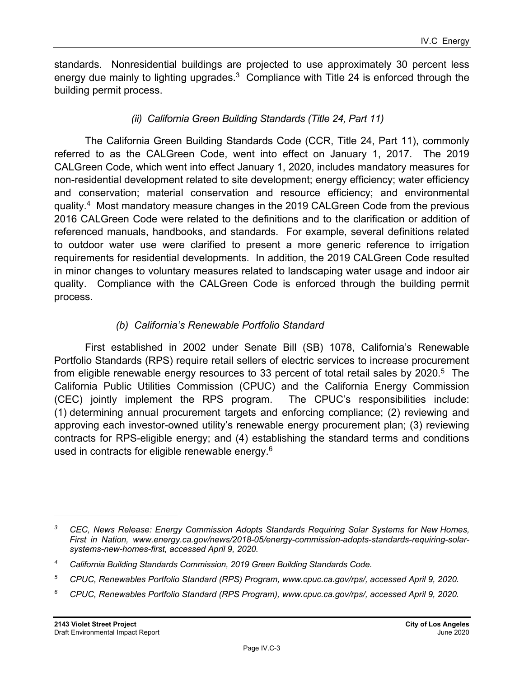standards. Nonresidential buildings are projected to use approximately 30 percent less energy due mainly to lighting upgrades.<sup>3</sup> Compliance with Title 24 is enforced through the building permit process.

### *(ii) California Green Building Standards (Title 24, Part 11)*

The California Green Building Standards Code (CCR, Title 24, Part 11), commonly referred to as the CALGreen Code, went into effect on January 1, 2017. The 2019 CALGreen Code, which went into effect January 1, 2020, includes mandatory measures for non-residential development related to site development; energy efficiency; water efficiency and conservation; material conservation and resource efficiency; and environmental quality.4 Most mandatory measure changes in the 2019 CALGreen Code from the previous 2016 CALGreen Code were related to the definitions and to the clarification or addition of referenced manuals, handbooks, and standards. For example, several definitions related to outdoor water use were clarified to present a more generic reference to irrigation requirements for residential developments. In addition, the 2019 CALGreen Code resulted in minor changes to voluntary measures related to landscaping water usage and indoor air quality. Compliance with the CALGreen Code is enforced through the building permit process.

#### *(b) California's Renewable Portfolio Standard*

First established in 2002 under Senate Bill (SB) 1078, California's Renewable Portfolio Standards (RPS) require retail sellers of electric services to increase procurement from eligible renewable energy resources to 33 percent of total retail sales by 2020.<sup>5</sup> The California Public Utilities Commission (CPUC) and the California Energy Commission (CEC) jointly implement the RPS program. The CPUC's responsibilities include: (1) determining annual procurement targets and enforcing compliance; (2) reviewing and approving each investor-owned utility's renewable energy procurement plan; (3) reviewing contracts for RPS-eligible energy; and (4) establishing the standard terms and conditions used in contracts for eligible renewable energy.<sup>6</sup>

*<sup>3</sup> CEC, News Release: Energy Commission Adopts Standards Requiring Solar Systems for New Homes, First in Nation, www.energy.ca.gov/news/2018-05/energy-commission-adopts-standards-requiring-solarsystems-new-homes-first, accessed April 9, 2020.*

*<sup>4</sup> California Building Standards Commission, 2019 Green Building Standards Code.* 

*<sup>5</sup> CPUC, Renewables Portfolio Standard (RPS) Program, www.cpuc.ca.gov/rps/, accessed April 9, 2020.*

*<sup>6</sup> CPUC, Renewables Portfolio Standard (RPS Program), www.cpuc.ca.gov/rps/, accessed April 9, 2020.*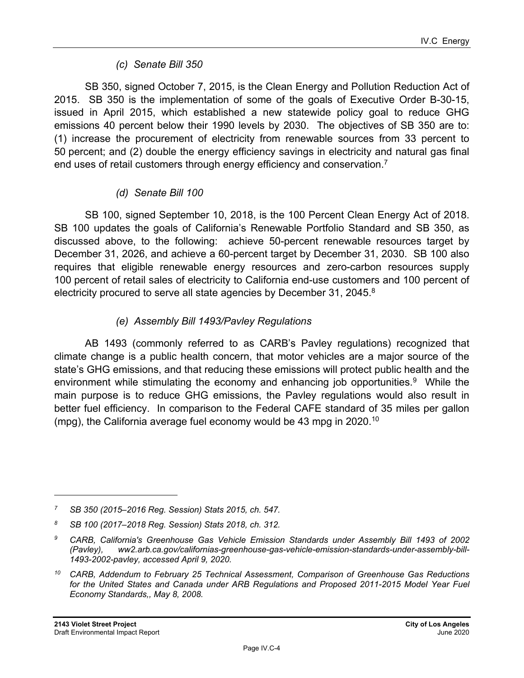#### *(c) Senate Bill 350*

SB 350, signed October 7, 2015, is the Clean Energy and Pollution Reduction Act of 2015. SB 350 is the implementation of some of the goals of Executive Order B-30-15, issued in April 2015, which established a new statewide policy goal to reduce GHG emissions 40 percent below their 1990 levels by 2030. The objectives of SB 350 are to: (1) increase the procurement of electricity from renewable sources from 33 percent to 50 percent; and (2) double the energy efficiency savings in electricity and natural gas final end uses of retail customers through energy efficiency and conservation.<sup>7</sup>

#### *(d) Senate Bill 100*

SB 100, signed September 10, 2018, is the 100 Percent Clean Energy Act of 2018. SB 100 updates the goals of California's Renewable Portfolio Standard and SB 350, as discussed above, to the following: achieve 50-percent renewable resources target by December 31, 2026, and achieve a 60-percent target by December 31, 2030. SB 100 also requires that eligible renewable energy resources and zero-carbon resources supply 100 percent of retail sales of electricity to California end-use customers and 100 percent of electricity procured to serve all state agencies by December 31, 2045.<sup>8</sup>

### *(e) Assembly Bill 1493/Pavley Regulations*

AB 1493 (commonly referred to as CARB's Pavley regulations) recognized that climate change is a public health concern, that motor vehicles are a major source of the state's GHG emissions, and that reducing these emissions will protect public health and the environment while stimulating the economy and enhancing job opportunities. $9$  While the main purpose is to reduce GHG emissions, the Pavley regulations would also result in better fuel efficiency. In comparison to the Federal CAFE standard of 35 miles per gallon (mpg), the California average fuel economy would be 43 mpg in 2020.<sup>10</sup>

*<sup>7</sup> SB 350 (2015–2016 Reg. Session) Stats 2015, ch. 547.*

*<sup>8</sup> SB 100 (2017–2018 Reg. Session) Stats 2018, ch. 312.* 

*<sup>9</sup> CARB, California's Greenhouse Gas Vehicle Emission Standards under Assembly Bill 1493 of 2002 (Pavley), ww2.arb.ca.gov/californias-greenhouse-gas-vehicle-emission-standards-under-assembly-bill-1493-2002-pavley, accessed April 9, 2020.* 

*<sup>10</sup> CARB, Addendum to February 25 Technical Assessment, Comparison of Greenhouse Gas Reductions for the United States and Canada under ARB Regulations and Proposed 2011-2015 Model Year Fuel Economy Standards,, May 8, 2008.*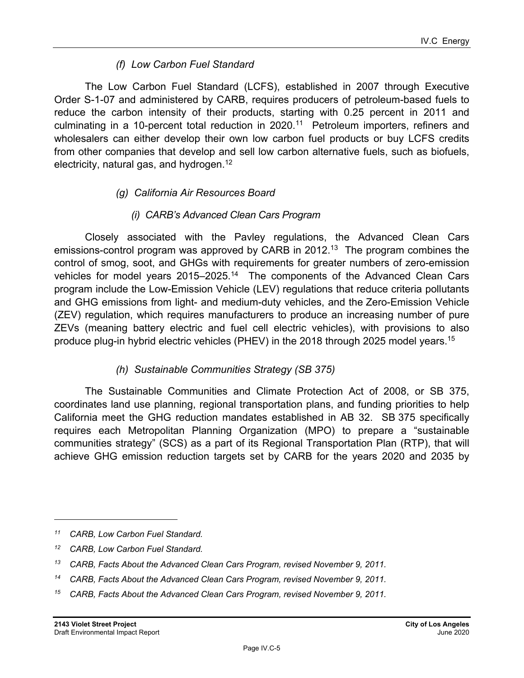#### *(f) Low Carbon Fuel Standard*

The Low Carbon Fuel Standard (LCFS), established in 2007 through Executive Order S-1-07 and administered by CARB, requires producers of petroleum-based fuels to reduce the carbon intensity of their products, starting with 0.25 percent in 2011 and culminating in a 10-percent total reduction in 2020.<sup>11</sup> Petroleum importers, refiners and wholesalers can either develop their own low carbon fuel products or buy LCFS credits from other companies that develop and sell low carbon alternative fuels, such as biofuels, electricity, natural gas, and hydrogen.<sup>12</sup>

#### *(g) California Air Resources Board*

#### *(i) CARB's Advanced Clean Cars Program*

Closely associated with the Pavley regulations, the Advanced Clean Cars emissions-control program was approved by CARB in 2012.<sup>13</sup> The program combines the control of smog, soot, and GHGs with requirements for greater numbers of zero-emission vehicles for model years 2015–2025.<sup>14</sup> The components of the Advanced Clean Cars program include the Low-Emission Vehicle (LEV) regulations that reduce criteria pollutants and GHG emissions from light- and medium-duty vehicles, and the Zero-Emission Vehicle (ZEV) regulation, which requires manufacturers to produce an increasing number of pure ZEVs (meaning battery electric and fuel cell electric vehicles), with provisions to also produce plug-in hybrid electric vehicles (PHEV) in the 2018 through 2025 model years.15

#### *(h) Sustainable Communities Strategy (SB 375)*

The Sustainable Communities and Climate Protection Act of 2008, or SB 375, coordinates land use planning, regional transportation plans, and funding priorities to help California meet the GHG reduction mandates established in AB 32. SB 375 specifically requires each Metropolitan Planning Organization (MPO) to prepare a "sustainable communities strategy" (SCS) as a part of its Regional Transportation Plan (RTP), that will achieve GHG emission reduction targets set by CARB for the years 2020 and 2035 by

*<sup>11</sup> CARB, Low Carbon Fuel Standard.* 

*<sup>12</sup> CARB, Low Carbon Fuel Standard.*

<sup>&</sup>lt;sup>13</sup> CARB, Facts About the Advanced Clean Cars Program, revised November 9, 2011.

*<sup>14</sup> CARB, Facts About the Advanced Clean Cars Program, revised November 9, 2011.*

*<sup>15</sup> CARB, Facts About the Advanced Clean Cars Program, revised November 9, 2011.*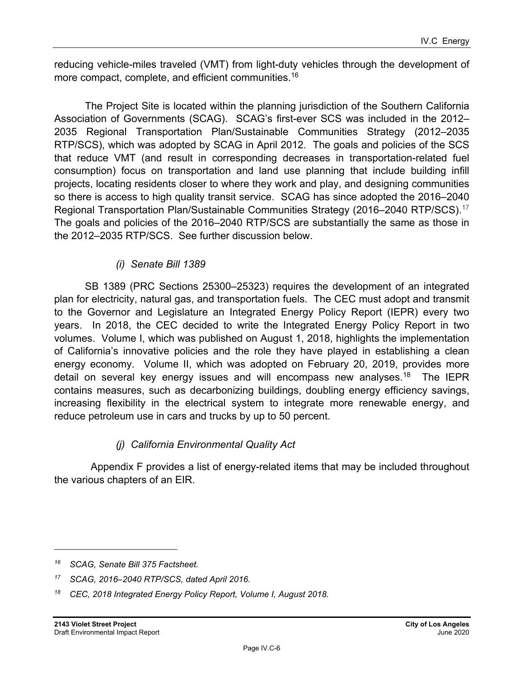reducing vehicle-miles traveled (VMT) from light-duty vehicles through the development of more compact, complete, and efficient communities.16

The Project Site is located within the planning jurisdiction of the Southern California Association of Governments (SCAG). SCAG's first-ever SCS was included in the 2012– 2035 Regional Transportation Plan/Sustainable Communities Strategy (2012–2035 RTP/SCS), which was adopted by SCAG in April 2012. The goals and policies of the SCS that reduce VMT (and result in corresponding decreases in transportation-related fuel consumption) focus on transportation and land use planning that include building infill projects, locating residents closer to where they work and play, and designing communities so there is access to high quality transit service. SCAG has since adopted the 2016–2040 Regional Transportation Plan/Sustainable Communities Strategy (2016–2040 RTP/SCS).<sup>17</sup> The goals and policies of the 2016–2040 RTP/SCS are substantially the same as those in the 2012–2035 RTP/SCS. See further discussion below.

### *(i) Senate Bill 1389*

SB 1389 (PRC Sections 25300–25323) requires the development of an integrated plan for electricity, natural gas, and transportation fuels. The CEC must adopt and transmit to the Governor and Legislature an Integrated Energy Policy Report (IEPR) every two years. In 2018, the CEC decided to write the Integrated Energy Policy Report in two volumes. Volume I, which was published on August 1, 2018, highlights the implementation of California's innovative policies and the role they have played in establishing a clean energy economy. Volume II, which was adopted on February 20, 2019, provides more detail on several key energy issues and will encompass new analyses.<sup>18</sup> The IEPR contains measures, such as decarbonizing buildings, doubling energy efficiency savings, increasing flexibility in the electrical system to integrate more renewable energy, and reduce petroleum use in cars and trucks by up to 50 percent.

### *(j) California Environmental Quality Act*

 Appendix F provides a list of energy-related items that may be included throughout the various chapters of an EIR.

*<sup>16</sup> SCAG, Senate Bill 375 Factsheet.* 

*<sup>17</sup> SCAG, 2016–2040 RTP/SCS, dated April 2016.* 

*<sup>18</sup> CEC, 2018 Integrated Energy Policy Report, Volume I, August 2018.*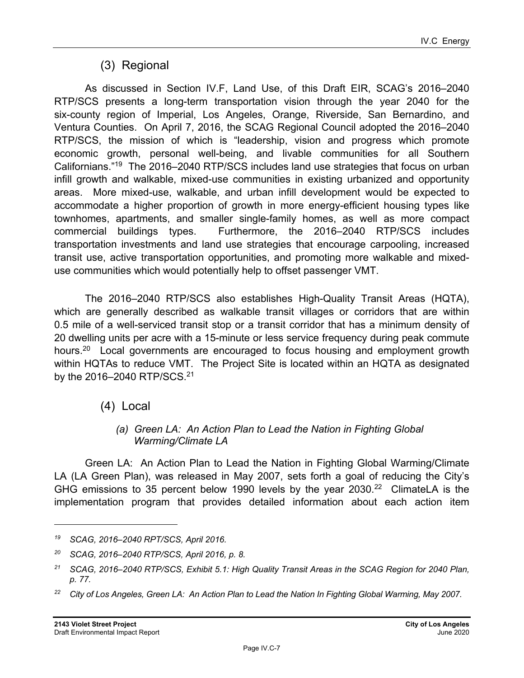## (3) Regional

As discussed in Section IV.F, Land Use, of this Draft EIR, SCAG's 2016–2040 RTP/SCS presents a long-term transportation vision through the year 2040 for the six-county region of Imperial, Los Angeles, Orange, Riverside, San Bernardino, and Ventura Counties. On April 7, 2016, the SCAG Regional Council adopted the 2016–2040 RTP/SCS, the mission of which is "leadership, vision and progress which promote economic growth, personal well-being, and livable communities for all Southern Californians."19 The 2016–2040 RTP/SCS includes land use strategies that focus on urban infill growth and walkable, mixed-use communities in existing urbanized and opportunity areas. More mixed-use, walkable, and urban infill development would be expected to accommodate a higher proportion of growth in more energy-efficient housing types like townhomes, apartments, and smaller single-family homes, as well as more compact commercial buildings types. Furthermore, the 2016–2040 RTP/SCS includes transportation investments and land use strategies that encourage carpooling, increased transit use, active transportation opportunities, and promoting more walkable and mixeduse communities which would potentially help to offset passenger VMT.

The 2016–2040 RTP/SCS also establishes High-Quality Transit Areas (HQTA), which are generally described as walkable transit villages or corridors that are within 0.5 mile of a well-serviced transit stop or a transit corridor that has a minimum density of 20 dwelling units per acre with a 15-minute or less service frequency during peak commute hours.<sup>20</sup> Local governments are encouraged to focus housing and employment growth within HQTAs to reduce VMT. The Project Site is located within an HQTA as designated by the 2016–2040 RTP/SCS.<sup>21</sup>

(4) Local

#### *(a) Green LA: An Action Plan to Lead the Nation in Fighting Global Warming/Climate LA*

Green LA: An Action Plan to Lead the Nation in Fighting Global Warming/Climate LA (LA Green Plan), was released in May 2007, sets forth a goal of reducing the City's GHG emissions to 35 percent below 1990 levels by the year  $2030<sup>22</sup>$  ClimateLA is the implementation program that provides detailed information about each action item

*<sup>19</sup> SCAG, 2016–2040 RPT/SCS, April 2016.* 

*<sup>20</sup> SCAG, 2016–2040 RTP/SCS, April 2016, p. 8.* 

*<sup>21</sup> SCAG, 2016–2040 RTP/SCS, Exhibit 5.1: High Quality Transit Areas in the SCAG Region for 2040 Plan, p. 77.* 

<sup>&</sup>lt;sup>22</sup> City of Los Angeles, Green LA: An Action Plan to Lead the Nation In Fighting Global Warming, May 2007.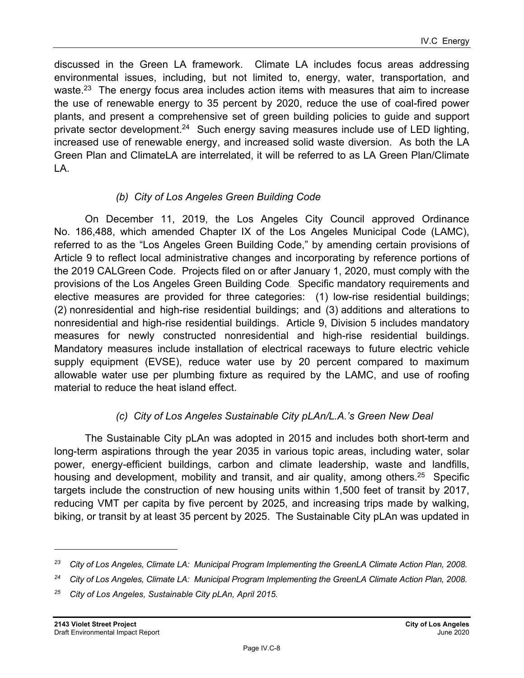discussed in the Green LA framework. Climate LA includes focus areas addressing environmental issues, including, but not limited to, energy, water, transportation, and waste. $^{23}$  The energy focus area includes action items with measures that aim to increase the use of renewable energy to 35 percent by 2020, reduce the use of coal-fired power plants, and present a comprehensive set of green building policies to guide and support private sector development.<sup>24</sup> Such energy saving measures include use of LED lighting, increased use of renewable energy, and increased solid waste diversion. As both the LA Green Plan and ClimateLA are interrelated, it will be referred to as LA Green Plan/Climate LA.

#### *(b) City of Los Angeles Green Building Code*

On December 11, 2019, the Los Angeles City Council approved Ordinance No. 186,488, which amended Chapter IX of the Los Angeles Municipal Code (LAMC), referred to as the "Los Angeles Green Building Code," by amending certain provisions of Article 9 to reflect local administrative changes and incorporating by reference portions of the 2019 CALGreen Code. Projects filed on or after January 1, 2020, must comply with the provisions of the Los Angeles Green Building Code. Specific mandatory requirements and elective measures are provided for three categories: (1) low-rise residential buildings; (2) nonresidential and high-rise residential buildings; and (3) additions and alterations to nonresidential and high-rise residential buildings. Article 9, Division 5 includes mandatory measures for newly constructed nonresidential and high-rise residential buildings. Mandatory measures include installation of electrical raceways to future electric vehicle supply equipment (EVSE), reduce water use by 20 percent compared to maximum allowable water use per plumbing fixture as required by the LAMC, and use of roofing material to reduce the heat island effect.

### *(c) City of Los Angeles Sustainable City pLAn/L.A.'s Green New Deal*

The Sustainable City pLAn was adopted in 2015 and includes both short-term and long-term aspirations through the year 2035 in various topic areas, including water, solar power, energy-efficient buildings, carbon and climate leadership, waste and landfills, housing and development, mobility and transit, and air quality, among others.<sup>25</sup> Specific targets include the construction of new housing units within 1,500 feet of transit by 2017, reducing VMT per capita by five percent by 2025, and increasing trips made by walking, biking, or transit by at least 35 percent by 2025. The Sustainable City pLAn was updated in

*<sup>23</sup> City of Los Angeles, Climate LA: Municipal Program Implementing the GreenLA Climate Action Plan, 2008.* 

*<sup>24</sup> City of Los Angeles, Climate LA: Municipal Program Implementing the GreenLA Climate Action Plan, 2008.* 

*<sup>25</sup> City of Los Angeles, Sustainable City pLAn, April 2015.*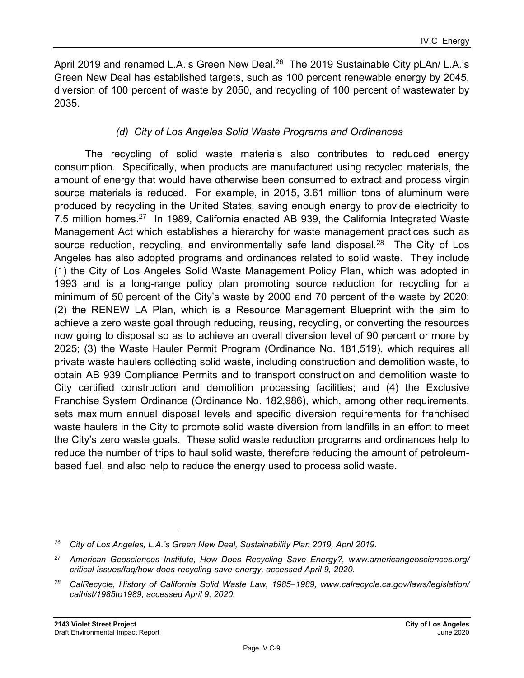April 2019 and renamed L.A.'s Green New Deal. $^{26}$  The 2019 Sustainable City pLAn/ L.A.'s Green New Deal has established targets, such as 100 percent renewable energy by 2045, diversion of 100 percent of waste by 2050, and recycling of 100 percent of wastewater by 2035.

#### *(d) City of Los Angeles Solid Waste Programs and Ordinances*

The recycling of solid waste materials also contributes to reduced energy consumption. Specifically, when products are manufactured using recycled materials, the amount of energy that would have otherwise been consumed to extract and process virgin source materials is reduced. For example, in 2015, 3.61 million tons of aluminum were produced by recycling in the United States, saving enough energy to provide electricity to 7.5 million homes.<sup>27</sup> In 1989, California enacted AB 939, the California Integrated Waste Management Act which establishes a hierarchy for waste management practices such as source reduction, recycling, and environmentally safe land disposal.<sup>28</sup> The City of Los Angeles has also adopted programs and ordinances related to solid waste. They include (1) the City of Los Angeles Solid Waste Management Policy Plan, which was adopted in 1993 and is a long-range policy plan promoting source reduction for recycling for a minimum of 50 percent of the City's waste by 2000 and 70 percent of the waste by 2020; (2) the RENEW LA Plan, which is a Resource Management Blueprint with the aim to achieve a zero waste goal through reducing, reusing, recycling, or converting the resources now going to disposal so as to achieve an overall diversion level of 90 percent or more by 2025; (3) the Waste Hauler Permit Program (Ordinance No. 181,519), which requires all private waste haulers collecting solid waste, including construction and demolition waste, to obtain AB 939 Compliance Permits and to transport construction and demolition waste to City certified construction and demolition processing facilities; and (4) the Exclusive Franchise System Ordinance (Ordinance No. 182,986), which, among other requirements, sets maximum annual disposal levels and specific diversion requirements for franchised waste haulers in the City to promote solid waste diversion from landfills in an effort to meet the City's zero waste goals. These solid waste reduction programs and ordinances help to reduce the number of trips to haul solid waste, therefore reducing the amount of petroleumbased fuel, and also help to reduce the energy used to process solid waste.

*<sup>26</sup> City of Los Angeles, L.A.'s Green New Deal, Sustainability Plan 2019, April 2019.* 

*<sup>27</sup> American Geosciences Institute, How Does Recycling Save Energy?, www.americangeosciences.org/ critical-issues/faq/how-does-recycling-save-energy, accessed April 9, 2020.* 

*<sup>28</sup> CalRecycle, History of California Solid Waste Law, 1985–1989, www.calrecycle.ca.gov/laws/legislation/ calhist/1985to1989, accessed April 9, 2020.*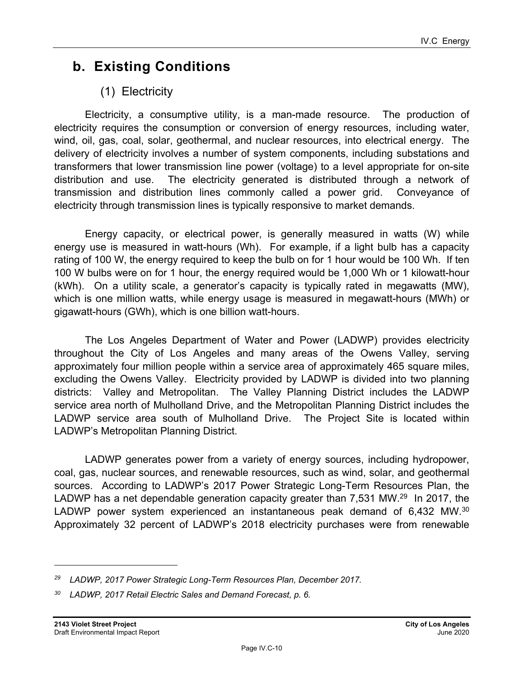## **b. Existing Conditions**

## (1) Electricity

Electricity, a consumptive utility, is a man-made resource. The production of electricity requires the consumption or conversion of energy resources, including water, wind, oil, gas, coal, solar, geothermal, and nuclear resources, into electrical energy. The delivery of electricity involves a number of system components, including substations and transformers that lower transmission line power (voltage) to a level appropriate for on-site distribution and use. The electricity generated is distributed through a network of transmission and distribution lines commonly called a power grid. Conveyance of electricity through transmission lines is typically responsive to market demands.

Energy capacity, or electrical power, is generally measured in watts (W) while energy use is measured in watt-hours (Wh). For example, if a light bulb has a capacity rating of 100 W, the energy required to keep the bulb on for 1 hour would be 100 Wh. If ten 100 W bulbs were on for 1 hour, the energy required would be 1,000 Wh or 1 kilowatt-hour (kWh). On a utility scale, a generator's capacity is typically rated in megawatts (MW), which is one million watts, while energy usage is measured in megawatt-hours (MWh) or gigawatt-hours (GWh), which is one billion watt-hours.

The Los Angeles Department of Water and Power (LADWP) provides electricity throughout the City of Los Angeles and many areas of the Owens Valley, serving approximately four million people within a service area of approximately 465 square miles, excluding the Owens Valley. Electricity provided by LADWP is divided into two planning districts: Valley and Metropolitan. The Valley Planning District includes the LADWP service area north of Mulholland Drive, and the Metropolitan Planning District includes the LADWP service area south of Mulholland Drive. The Project Site is located within LADWP's Metropolitan Planning District.

LADWP generates power from a variety of energy sources, including hydropower, coal, gas, nuclear sources, and renewable resources, such as wind, solar, and geothermal sources. According to LADWP's 2017 Power Strategic Long-Term Resources Plan, the LADWP has a net dependable generation capacity greater than 7,531 MW.<sup>29</sup> In 2017, the LADWP power system experienced an instantaneous peak demand of 6,432 MW. $^{30}$ Approximately 32 percent of LADWP's 2018 electricity purchases were from renewable

*<sup>29</sup> LADWP, 2017 Power Strategic Long-Term Resources Plan, December 2017.* 

*<sup>30</sup> LADWP, 2017 Retail Electric Sales and Demand Forecast, p. 6.*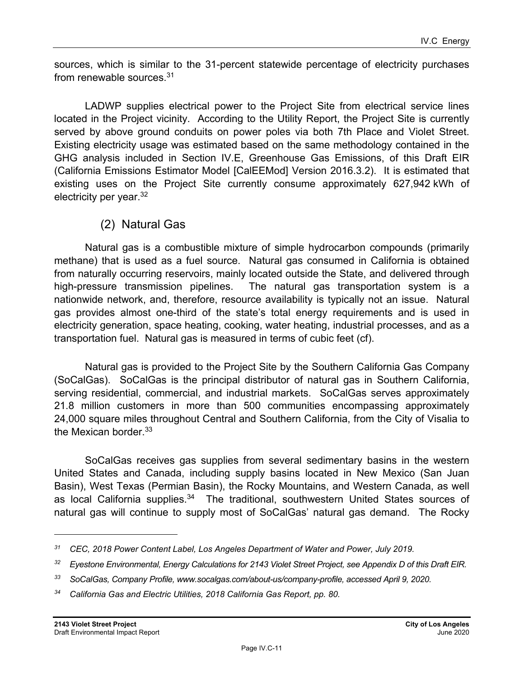sources, which is similar to the 31-percent statewide percentage of electricity purchases from renewable sources.31

LADWP supplies electrical power to the Project Site from electrical service lines located in the Project vicinity. According to the Utility Report, the Project Site is currently served by above ground conduits on power poles via both 7th Place and Violet Street. Existing electricity usage was estimated based on the same methodology contained in the GHG analysis included in Section IV.E, Greenhouse Gas Emissions, of this Draft EIR (California Emissions Estimator Model [CalEEMod] Version 2016.3.2). It is estimated that existing uses on the Project Site currently consume approximately 627,942 kWh of electricity per year.<sup>32</sup>

(2) Natural Gas

Natural gas is a combustible mixture of simple hydrocarbon compounds (primarily methane) that is used as a fuel source. Natural gas consumed in California is obtained from naturally occurring reservoirs, mainly located outside the State, and delivered through high-pressure transmission pipelines. The natural gas transportation system is a nationwide network, and, therefore, resource availability is typically not an issue. Natural gas provides almost one-third of the state's total energy requirements and is used in electricity generation, space heating, cooking, water heating, industrial processes, and as a transportation fuel. Natural gas is measured in terms of cubic feet (cf).

Natural gas is provided to the Project Site by the Southern California Gas Company (SoCalGas). SoCalGas is the principal distributor of natural gas in Southern California, serving residential, commercial, and industrial markets. SoCalGas serves approximately 21.8 million customers in more than 500 communities encompassing approximately 24,000 square miles throughout Central and Southern California, from the City of Visalia to the Mexican border.<sup>33</sup>

SoCalGas receives gas supplies from several sedimentary basins in the western United States and Canada, including supply basins located in New Mexico (San Juan Basin), West Texas (Permian Basin), the Rocky Mountains, and Western Canada, as well as local California supplies.<sup>34</sup> The traditional, southwestern United States sources of natural gas will continue to supply most of SoCalGas' natural gas demand. The Rocky

*<sup>31</sup> CEC, 2018 Power Content Label, Los Angeles Department of Water and Power, July 2019.* 

*<sup>32</sup> Eyestone Environmental, Energy Calculations for 2143 Violet Street Project, see Appendix D of this Draft EIR.* 

*<sup>33</sup> SoCalGas, Company Profile, www.socalgas.com/about-us/company-profile, accessed April 9, 2020.* 

*<sup>34</sup> California Gas and Electric Utilities, 2018 California Gas Report, pp. 80.*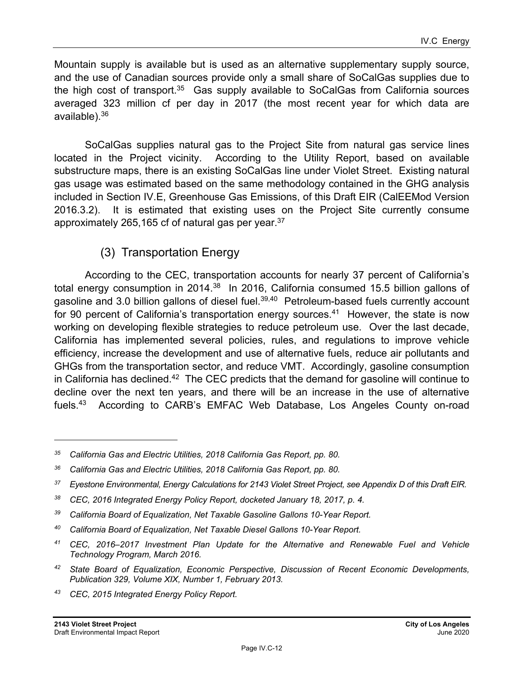Mountain supply is available but is used as an alternative supplementary supply source, and the use of Canadian sources provide only a small share of SoCalGas supplies due to the high cost of transport. $35$  Gas supply available to SoCalGas from California sources averaged 323 million cf per day in 2017 (the most recent year for which data are available).36

SoCalGas supplies natural gas to the Project Site from natural gas service lines located in the Project vicinity. According to the Utility Report, based on available substructure maps, there is an existing SoCalGas line under Violet Street. Existing natural gas usage was estimated based on the same methodology contained in the GHG analysis included in Section IV.E, Greenhouse Gas Emissions, of this Draft EIR (CalEEMod Version 2016.3.2). It is estimated that existing uses on the Project Site currently consume approximately 265,165 cf of natural gas per year.<sup>37</sup>

## (3) Transportation Energy

According to the CEC, transportation accounts for nearly 37 percent of California's total energy consumption in 2014. $38$  In 2016, California consumed 15.5 billion gallons of gasoline and 3.0 billion gallons of diesel fuel.<sup>39,40</sup> Petroleum-based fuels currently account for 90 percent of California's transportation energy sources.<sup>41</sup> However, the state is now working on developing flexible strategies to reduce petroleum use. Over the last decade, California has implemented several policies, rules, and regulations to improve vehicle efficiency, increase the development and use of alternative fuels, reduce air pollutants and GHGs from the transportation sector, and reduce VMT. Accordingly, gasoline consumption in California has declined.<sup>42</sup> The CEC predicts that the demand for gasoline will continue to decline over the next ten years, and there will be an increase in the use of alternative fuels.43 According to CARB's EMFAC Web Database, Los Angeles County on-road

- <sup>38</sup> CEC, 2016 Integrated Energy Policy Report, docketed January 18, 2017, p. 4.
- *39 California Board of Equalization, Net Taxable Gasoline Gallons 10-Year Report.*
- *40 California Board of Equalization, Net Taxable Diesel Gallons 10-Year Report.*
- *41 CEC, 2016–2017 Investment Plan Update for the Alternative and Renewable Fuel and Vehicle Technology Program, March 2016.*
- *42 State Board of Equalization, Economic Perspective, Discussion of Recent Economic Developments, Publication 329, Volume XIX, Number 1, February 2013.*
- *43 CEC, 2015 Integrated Energy Policy Report.*

*<sup>35</sup> California Gas and Electric Utilities, 2018 California Gas Report, pp. 80.* 

*<sup>36</sup> California Gas and Electric Utilities, 2018 California Gas Report, pp. 80.* 

*<sup>37</sup> Eyestone Environmental, Energy Calculations for 2143 Violet Street Project, see Appendix D of this Draft EIR.*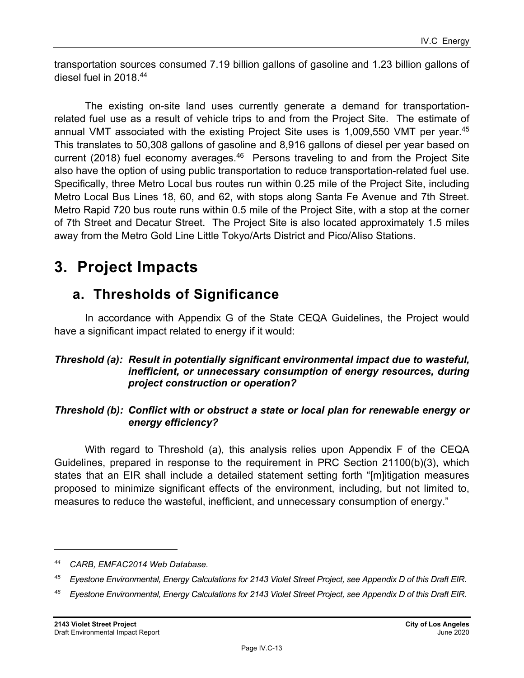transportation sources consumed 7.19 billion gallons of gasoline and 1.23 billion gallons of diesel fuel in 2018.44

The existing on-site land uses currently generate a demand for transportationrelated fuel use as a result of vehicle trips to and from the Project Site. The estimate of annual VMT associated with the existing Project Site uses is 1,009,550 VMT per year.<sup>45</sup> This translates to 50,308 gallons of gasoline and 8,916 gallons of diesel per year based on current (2018) fuel economy averages.<sup>46</sup> Persons traveling to and from the Project Site also have the option of using public transportation to reduce transportation-related fuel use. Specifically, three Metro Local bus routes run within 0.25 mile of the Project Site, including Metro Local Bus Lines 18, 60, and 62, with stops along Santa Fe Avenue and 7th Street. Metro Rapid 720 bus route runs within 0.5 mile of the Project Site, with a stop at the corner of 7th Street and Decatur Street. The Project Site is also located approximately 1.5 miles away from the Metro Gold Line Little Tokyo/Arts District and Pico/Aliso Stations.

## **3. Project Impacts**

## **a. Thresholds of Significance**

In accordance with Appendix G of the State CEQA Guidelines, the Project would have a significant impact related to energy if it would:

#### *Threshold (a): Result in potentially significant environmental impact due to wasteful, inefficient, or unnecessary consumption of energy resources, during project construction or operation?*

#### *Threshold (b): Conflict with or obstruct a state or local plan for renewable energy or energy efficiency?*

With regard to Threshold (a), this analysis relies upon Appendix F of the CEQA Guidelines, prepared in response to the requirement in PRC Section 21100(b)(3), which states that an EIR shall include a detailed statement setting forth "[m]itigation measures proposed to minimize significant effects of the environment, including, but not limited to, measures to reduce the wasteful, inefficient, and unnecessary consumption of energy."

*<sup>44</sup> CARB, EMFAC2014 Web Database.* 

*<sup>45</sup> Eyestone Environmental, Energy Calculations for 2143 Violet Street Project, see Appendix D of this Draft EIR.* 

*<sup>46</sup> Eyestone Environmental, Energy Calculations for 2143 Violet Street Project, see Appendix D of this Draft EIR.*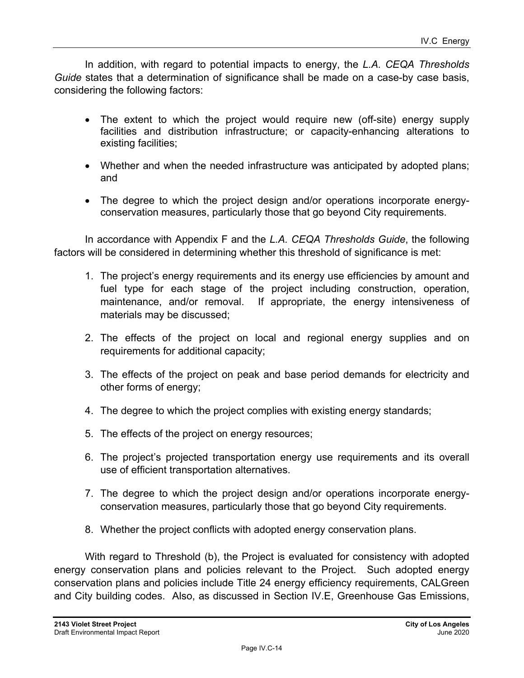In addition, with regard to potential impacts to energy, the *L.A. CEQA Thresholds Guide* states that a determination of significance shall be made on a case-by case basis, considering the following factors:

- The extent to which the project would require new (off-site) energy supply facilities and distribution infrastructure; or capacity-enhancing alterations to existing facilities;
- Whether and when the needed infrastructure was anticipated by adopted plans; and
- The degree to which the project design and/or operations incorporate energyconservation measures, particularly those that go beyond City requirements.

In accordance with Appendix F and the *L.A. CEQA Thresholds Guide*, the following factors will be considered in determining whether this threshold of significance is met:

- 1. The project's energy requirements and its energy use efficiencies by amount and fuel type for each stage of the project including construction, operation, maintenance, and/or removal. If appropriate, the energy intensiveness of materials may be discussed;
- 2. The effects of the project on local and regional energy supplies and on requirements for additional capacity;
- 3. The effects of the project on peak and base period demands for electricity and other forms of energy;
- 4. The degree to which the project complies with existing energy standards;
- 5. The effects of the project on energy resources;
- 6. The project's projected transportation energy use requirements and its overall use of efficient transportation alternatives.
- 7. The degree to which the project design and/or operations incorporate energyconservation measures, particularly those that go beyond City requirements.
- 8. Whether the project conflicts with adopted energy conservation plans.

With regard to Threshold (b), the Project is evaluated for consistency with adopted energy conservation plans and policies relevant to the Project. Such adopted energy conservation plans and policies include Title 24 energy efficiency requirements, CALGreen and City building codes. Also, as discussed in Section IV.E, Greenhouse Gas Emissions,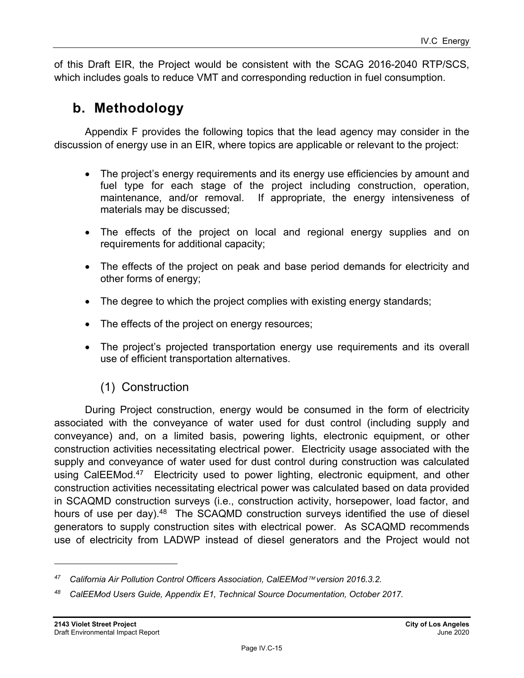of this Draft EIR, the Project would be consistent with the SCAG 2016-2040 RTP/SCS, which includes goals to reduce VMT and corresponding reduction in fuel consumption.

## **b. Methodology**

Appendix F provides the following topics that the lead agency may consider in the discussion of energy use in an EIR, where topics are applicable or relevant to the project:

- The project's energy requirements and its energy use efficiencies by amount and fuel type for each stage of the project including construction, operation, maintenance, and/or removal. If appropriate, the energy intensiveness of materials may be discussed;
- The effects of the project on local and regional energy supplies and on requirements for additional capacity;
- The effects of the project on peak and base period demands for electricity and other forms of energy;
- The degree to which the project complies with existing energy standards;
- The effects of the project on energy resources;
- The project's projected transportation energy use requirements and its overall use of efficient transportation alternatives.

## (1) Construction

During Project construction, energy would be consumed in the form of electricity associated with the conveyance of water used for dust control (including supply and conveyance) and, on a limited basis, powering lights, electronic equipment, or other construction activities necessitating electrical power. Electricity usage associated with the supply and conveyance of water used for dust control during construction was calculated using CalEEMod.<sup>47</sup> Electricity used to power lighting, electronic equipment, and other construction activities necessitating electrical power was calculated based on data provided in SCAQMD construction surveys (i.e., construction activity, horsepower, load factor, and hours of use per day).<sup>48</sup> The SCAQMD construction surveys identified the use of diesel generators to supply construction sites with electrical power. As SCAQMD recommends use of electricity from LADWP instead of diesel generators and the Project would not

*<sup>47</sup> California Air Pollution Control Officers Association, CalEEMod version 2016.3.2.* 

*<sup>48</sup> CalEEMod Users Guide, Appendix E1, Technical Source Documentation, October 2017.*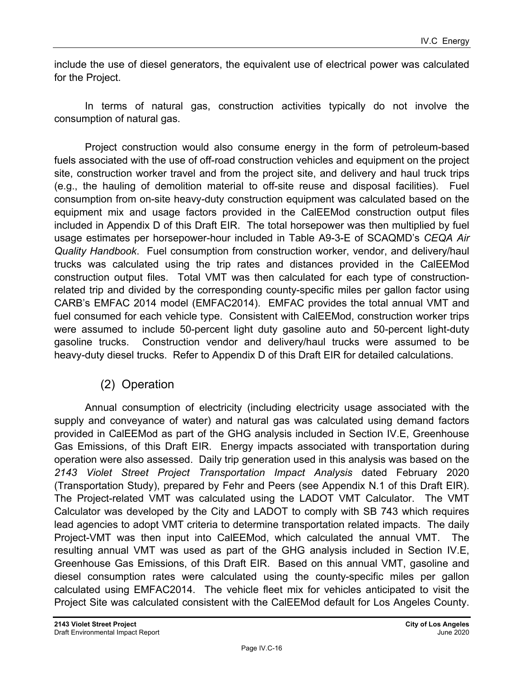include the use of diesel generators, the equivalent use of electrical power was calculated for the Project.

In terms of natural gas, construction activities typically do not involve the consumption of natural gas.

Project construction would also consume energy in the form of petroleum-based fuels associated with the use of off-road construction vehicles and equipment on the project site, construction worker travel and from the project site, and delivery and haul truck trips (e.g., the hauling of demolition material to off-site reuse and disposal facilities). Fuel consumption from on-site heavy-duty construction equipment was calculated based on the equipment mix and usage factors provided in the CalEEMod construction output files included in Appendix D of this Draft EIR. The total horsepower was then multiplied by fuel usage estimates per horsepower-hour included in Table A9-3-E of SCAQMD's *CEQA Air Quality Handbook*. Fuel consumption from construction worker, vendor, and delivery/haul trucks was calculated using the trip rates and distances provided in the CalEEMod construction output files. Total VMT was then calculated for each type of constructionrelated trip and divided by the corresponding county-specific miles per gallon factor using CARB's EMFAC 2014 model (EMFAC2014). EMFAC provides the total annual VMT and fuel consumed for each vehicle type. Consistent with CalEEMod, construction worker trips were assumed to include 50-percent light duty gasoline auto and 50-percent light-duty gasoline trucks. Construction vendor and delivery/haul trucks were assumed to be heavy-duty diesel trucks. Refer to Appendix D of this Draft EIR for detailed calculations.

## (2) Operation

Annual consumption of electricity (including electricity usage associated with the supply and conveyance of water) and natural gas was calculated using demand factors provided in CalEEMod as part of the GHG analysis included in Section IV.E, Greenhouse Gas Emissions, of this Draft EIR. Energy impacts associated with transportation during operation were also assessed. Daily trip generation used in this analysis was based on the *2143 Violet Street Project Transportation Impact Analysis* dated February 2020 (Transportation Study), prepared by Fehr and Peers (see Appendix N.1 of this Draft EIR). The Project-related VMT was calculated using the LADOT VMT Calculator. The VMT Calculator was developed by the City and LADOT to comply with SB 743 which requires lead agencies to adopt VMT criteria to determine transportation related impacts. The daily Project-VMT was then input into CalEEMod, which calculated the annual VMT. The resulting annual VMT was used as part of the GHG analysis included in Section IV.E, Greenhouse Gas Emissions, of this Draft EIR. Based on this annual VMT, gasoline and diesel consumption rates were calculated using the county-specific miles per gallon calculated using EMFAC2014. The vehicle fleet mix for vehicles anticipated to visit the Project Site was calculated consistent with the CalEEMod default for Los Angeles County.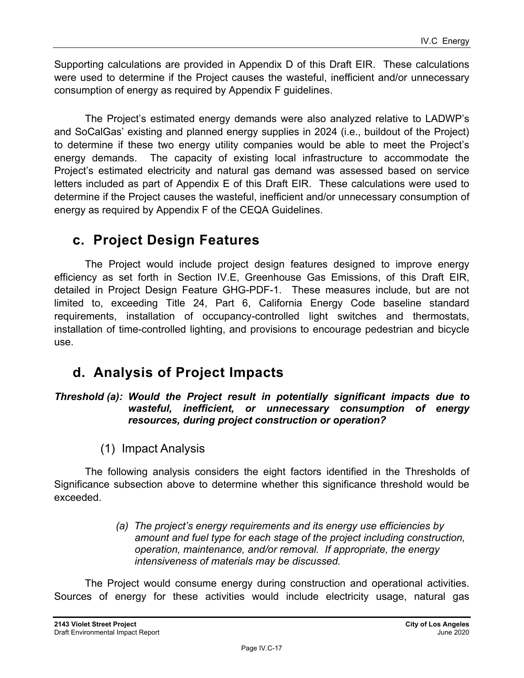Supporting calculations are provided in Appendix D of this Draft EIR. These calculations were used to determine if the Project causes the wasteful, inefficient and/or unnecessary consumption of energy as required by Appendix F guidelines.

The Project's estimated energy demands were also analyzed relative to LADWP's and SoCalGas' existing and planned energy supplies in 2024 (i.e., buildout of the Project) to determine if these two energy utility companies would be able to meet the Project's energy demands. The capacity of existing local infrastructure to accommodate the Project's estimated electricity and natural gas demand was assessed based on service letters included as part of Appendix E of this Draft EIR. These calculations were used to determine if the Project causes the wasteful, inefficient and/or unnecessary consumption of energy as required by Appendix F of the CEQA Guidelines.

## **c. Project Design Features**

The Project would include project design features designed to improve energy efficiency as set forth in Section IV.E, Greenhouse Gas Emissions, of this Draft EIR, detailed in Project Design Feature GHG-PDF-1. These measures include, but are not limited to, exceeding Title 24, Part 6, California Energy Code baseline standard requirements, installation of occupancy-controlled light switches and thermostats, installation of time-controlled lighting, and provisions to encourage pedestrian and bicycle use.

## **d. Analysis of Project Impacts**

#### *Threshold (a): Would the Project result in potentially significant impacts due to wasteful, inefficient, or unnecessary consumption of energy resources, during project construction or operation?*

(1) Impact Analysis

The following analysis considers the eight factors identified in the Thresholds of Significance subsection above to determine whether this significance threshold would be exceeded.

> *(a) The project's energy requirements and its energy use efficiencies by amount and fuel type for each stage of the project including construction, operation, maintenance, and/or removal. If appropriate, the energy intensiveness of materials may be discussed.*

The Project would consume energy during construction and operational activities. Sources of energy for these activities would include electricity usage, natural gas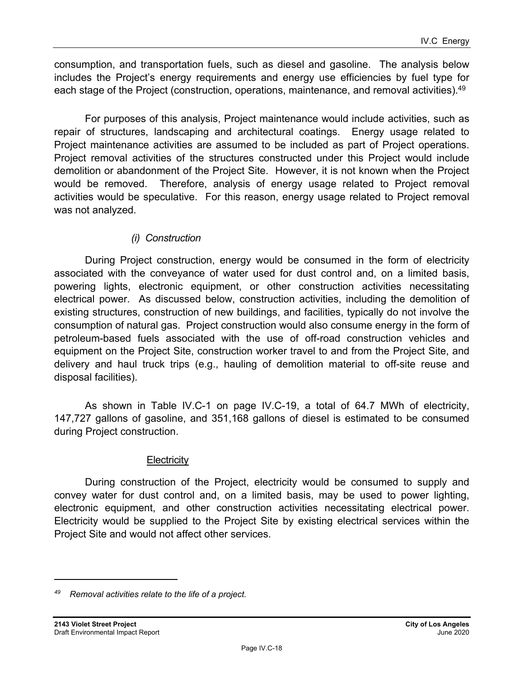consumption, and transportation fuels, such as diesel and gasoline. The analysis below includes the Project's energy requirements and energy use efficiencies by fuel type for each stage of the Project (construction, operations, maintenance, and removal activities).<sup>49</sup>

For purposes of this analysis, Project maintenance would include activities, such as repair of structures, landscaping and architectural coatings. Energy usage related to Project maintenance activities are assumed to be included as part of Project operations. Project removal activities of the structures constructed under this Project would include demolition or abandonment of the Project Site. However, it is not known when the Project would be removed. Therefore, analysis of energy usage related to Project removal activities would be speculative. For this reason, energy usage related to Project removal was not analyzed.

#### *(i) Construction*

During Project construction, energy would be consumed in the form of electricity associated with the conveyance of water used for dust control and, on a limited basis, powering lights, electronic equipment, or other construction activities necessitating electrical power. As discussed below, construction activities, including the demolition of existing structures, construction of new buildings, and facilities, typically do not involve the consumption of natural gas. Project construction would also consume energy in the form of petroleum-based fuels associated with the use of off-road construction vehicles and equipment on the Project Site, construction worker travel to and from the Project Site, and delivery and haul truck trips (e.g., hauling of demolition material to off-site reuse and disposal facilities).

As shown in Table IV.C-1 on page IV.C-19, a total of 64.7 MWh of electricity, 147,727 gallons of gasoline, and 351,168 gallons of diesel is estimated to be consumed during Project construction.

#### **Electricity**

During construction of the Project, electricity would be consumed to supply and convey water for dust control and, on a limited basis, may be used to power lighting, electronic equipment, and other construction activities necessitating electrical power. Electricity would be supplied to the Project Site by existing electrical services within the Project Site and would not affect other services.

*<sup>49</sup> Removal activities relate to the life of a project.*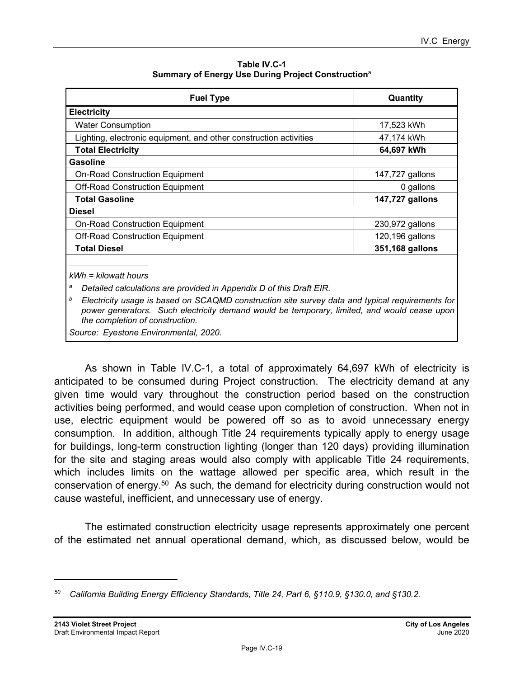| Table IV.C-1                                                   |
|----------------------------------------------------------------|
| Summary of Energy Use During Project Construction <sup>a</sup> |

| <b>Fuel Type</b>                                                                                                                                                                                                                       | Quantity        |  |
|----------------------------------------------------------------------------------------------------------------------------------------------------------------------------------------------------------------------------------------|-----------------|--|
| <b>Electricity</b>                                                                                                                                                                                                                     |                 |  |
| <b>Water Consumption</b>                                                                                                                                                                                                               | 17,523 kWh      |  |
| Lighting, electronic equipment, and other construction activities                                                                                                                                                                      | 47,174 kWh      |  |
| <b>Total Electricity</b>                                                                                                                                                                                                               | 64,697 kWh      |  |
| <b>Gasoline</b>                                                                                                                                                                                                                        |                 |  |
| <b>On-Road Construction Equipment</b>                                                                                                                                                                                                  | 147,727 gallons |  |
| <b>Off-Road Construction Equipment</b>                                                                                                                                                                                                 | 0 gallons       |  |
| <b>Total Gasoline</b>                                                                                                                                                                                                                  | 147,727 gallons |  |
| <b>Diesel</b>                                                                                                                                                                                                                          |                 |  |
| <b>On-Road Construction Equipment</b>                                                                                                                                                                                                  | 230,972 gallons |  |
| <b>Off-Road Construction Equipment</b>                                                                                                                                                                                                 | 120,196 gallons |  |
| <b>Total Diesel</b>                                                                                                                                                                                                                    | 351,168 gallons |  |
| $kWh = kilowatt hours$                                                                                                                                                                                                                 |                 |  |
| а<br>Detailed calculations are provided in Appendix D of this Draft EIR.                                                                                                                                                               |                 |  |
| b<br>Electricity usage is based on SCAQMD construction site survey data and typical requirements for<br>power generators. Such electricity demand would be temporary, limited, and would cease upon<br>the completion of construction. |                 |  |
| Source: Eyestone Environmental, 2020.                                                                                                                                                                                                  |                 |  |

As shown in Table IV.C-1, a total of approximately 64,697 kWh of electricity is anticipated to be consumed during Project construction. The electricity demand at any given time would vary throughout the construction period based on the construction activities being performed, and would cease upon completion of construction. When not in use, electric equipment would be powered off so as to avoid unnecessary energy consumption. In addition, although Title 24 requirements typically apply to energy usage for buildings, long-term construction lighting (longer than 120 days) providing illumination for the site and staging areas would also comply with applicable Title 24 requirements, which includes limits on the wattage allowed per specific area, which result in the conservation of energy.<sup>50</sup> As such, the demand for electricity during construction would not cause wasteful, inefficient, and unnecessary use of energy.

The estimated construction electricity usage represents approximately one percent of the estimated net annual operational demand, which, as discussed below, would be

*<sup>50</sup> California Building Energy Efficiency Standards, Title 24, Part 6, §110.9, §130.0, and §130.2.*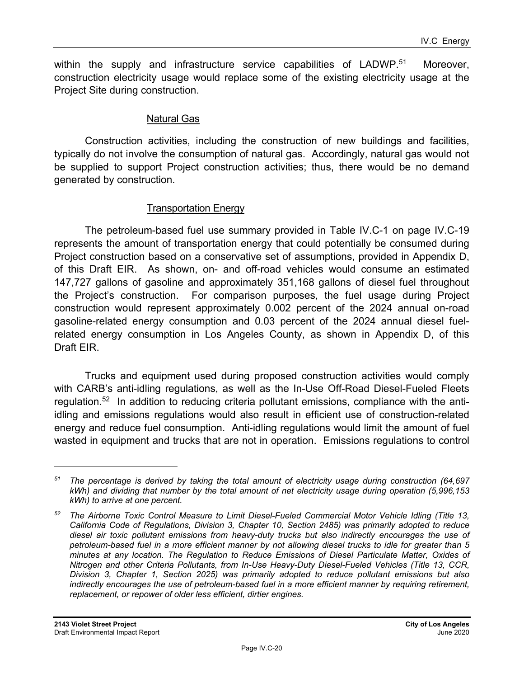within the supply and infrastructure service capabilities of  $LADWP<sup>.51</sup>$  Moreover, construction electricity usage would replace some of the existing electricity usage at the Project Site during construction.

#### Natural Gas

Construction activities, including the construction of new buildings and facilities, typically do not involve the consumption of natural gas. Accordingly, natural gas would not be supplied to support Project construction activities; thus, there would be no demand generated by construction.

#### Transportation Energy

The petroleum-based fuel use summary provided in Table IV.C-1 on page IV.C-19 represents the amount of transportation energy that could potentially be consumed during Project construction based on a conservative set of assumptions, provided in Appendix D, of this Draft EIR. As shown, on- and off-road vehicles would consume an estimated 147,727 gallons of gasoline and approximately 351,168 gallons of diesel fuel throughout the Project's construction. For comparison purposes, the fuel usage during Project construction would represent approximately 0.002 percent of the 2024 annual on-road gasoline-related energy consumption and 0.03 percent of the 2024 annual diesel fuelrelated energy consumption in Los Angeles County, as shown in Appendix D, of this Draft EIR.

Trucks and equipment used during proposed construction activities would comply with CARB's anti-idling regulations, as well as the In-Use Off-Road Diesel-Fueled Fleets regulation.52 In addition to reducing criteria pollutant emissions, compliance with the antiidling and emissions regulations would also result in efficient use of construction-related energy and reduce fuel consumption. Anti-idling regulations would limit the amount of fuel wasted in equipment and trucks that are not in operation. Emissions regulations to control

*<sup>51</sup> The percentage is derived by taking the total amount of electricity usage during construction (64,697 kWh) and dividing that number by the total amount of net electricity usage during operation (5,996,153 kWh) to arrive at one percent.* 

*<sup>52</sup> The Airborne Toxic Control Measure to Limit Diesel-Fueled Commercial Motor Vehicle Idling (Title 13, California Code of Regulations, Division 3, Chapter 10, Section 2485) was primarily adopted to reduce diesel air toxic pollutant emissions from heavy-duty trucks but also indirectly encourages the use of petroleum-based fuel in a more efficient manner by not allowing diesel trucks to idle for greater than 5 minutes at any location. The Regulation to Reduce Emissions of Diesel Particulate Matter, Oxides of Nitrogen and other Criteria Pollutants, from In-Use Heavy-Duty Diesel-Fueled Vehicles (Title 13, CCR, Division 3, Chapter 1, Section 2025) was primarily adopted to reduce pollutant emissions but also*  indirectly encourages the use of petroleum-based fuel in a more efficient manner by requiring retirement, *replacement, or repower of older less efficient, dirtier engines.*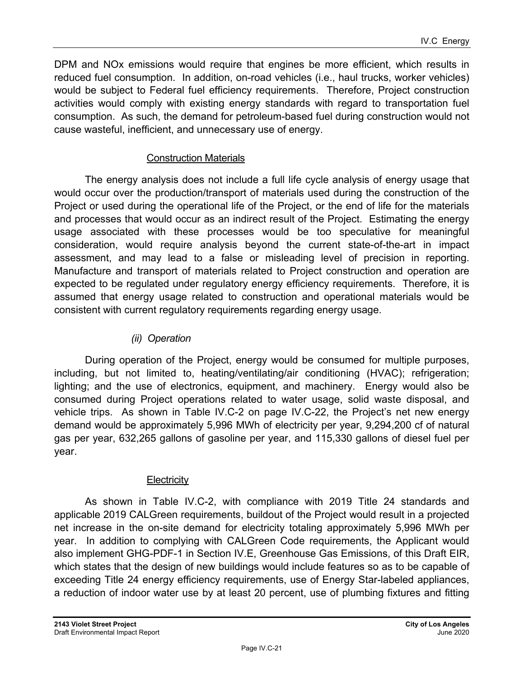DPM and NOx emissions would require that engines be more efficient, which results in reduced fuel consumption. In addition, on-road vehicles (i.e., haul trucks, worker vehicles) would be subject to Federal fuel efficiency requirements. Therefore, Project construction activities would comply with existing energy standards with regard to transportation fuel consumption. As such, the demand for petroleum-based fuel during construction would not cause wasteful, inefficient, and unnecessary use of energy.

#### Construction Materials

The energy analysis does not include a full life cycle analysis of energy usage that would occur over the production/transport of materials used during the construction of the Project or used during the operational life of the Project, or the end of life for the materials and processes that would occur as an indirect result of the Project. Estimating the energy usage associated with these processes would be too speculative for meaningful consideration, would require analysis beyond the current state-of-the-art in impact assessment, and may lead to a false or misleading level of precision in reporting. Manufacture and transport of materials related to Project construction and operation are expected to be regulated under regulatory energy efficiency requirements. Therefore, it is assumed that energy usage related to construction and operational materials would be consistent with current regulatory requirements regarding energy usage.

#### *(ii) Operation*

During operation of the Project, energy would be consumed for multiple purposes, including, but not limited to, heating/ventilating/air conditioning (HVAC); refrigeration; lighting; and the use of electronics, equipment, and machinery. Energy would also be consumed during Project operations related to water usage, solid waste disposal, and vehicle trips. As shown in Table IV.C-2 on page IV.C-22, the Project's net new energy demand would be approximately 5,996 MWh of electricity per year, 9,294,200 cf of natural gas per year, 632,265 gallons of gasoline per year, and 115,330 gallons of diesel fuel per year.

#### **Electricity**

As shown in Table IV.C-2, with compliance with 2019 Title 24 standards and applicable 2019 CALGreen requirements, buildout of the Project would result in a projected net increase in the on-site demand for electricity totaling approximately 5,996 MWh per year. In addition to complying with CALGreen Code requirements, the Applicant would also implement GHG-PDF-1 in Section IV.E, Greenhouse Gas Emissions, of this Draft EIR, which states that the design of new buildings would include features so as to be capable of exceeding Title 24 energy efficiency requirements, use of Energy Star-labeled appliances, a reduction of indoor water use by at least 20 percent, use of plumbing fixtures and fitting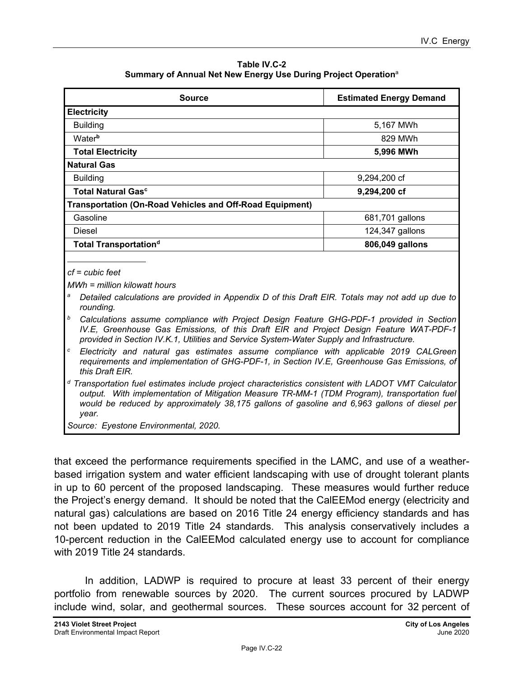**Table IV.C-2 Summary of Annual Net New Energy Use During Project Operation**<sup>a</sup>

| <b>Source</b>                                            | <b>Estimated Energy Demand</b>                                                                        |
|----------------------------------------------------------|-------------------------------------------------------------------------------------------------------|
| <b>Electricity</b>                                       |                                                                                                       |
| <b>Building</b>                                          | 5,167 MWh                                                                                             |
| <b>Water</b> <sup>b</sup>                                | 829 MWh                                                                                               |
| <b>Total Electricity</b>                                 | 5,996 MWh                                                                                             |
| <b>Natural Gas</b>                                       |                                                                                                       |
| <b>Building</b>                                          | 9,294,200 cf                                                                                          |
| <b>Total Natural Gasc</b>                                | 9,294,200 cf                                                                                          |
| Transportation (On-Road Vehicles and Off-Road Equipment) |                                                                                                       |
| Gasoline                                                 | 681,701 gallons                                                                                       |
| Diesel                                                   | 124,347 gallons                                                                                       |
| <b>Total Transportationd</b>                             | 806,049 gallons                                                                                       |
|                                                          |                                                                                                       |
| $cf = cubic feet$                                        |                                                                                                       |
| $MWh = million kilowatt hours$                           |                                                                                                       |
|                                                          | 8. Detailed establishes are nuscided in Annopolis D of this Dreft FID. Totals measured sald up due to |

*a Detailed calculations are provided in Appendix D of this Draft EIR. Totals may not add up due to rounding.* 

*b Calculations assume compliance with Project Design Feature GHG-PDF-1 provided in Section IV.E, Greenhouse Gas Emissions, of this Draft EIR and Project Design Feature WAT-PDF-1 provided in Section IV.K.1, Utilities and Service System-Water Supply and Infrastructure.* 

*c Electricity and natural gas estimates assume compliance with applicable 2019 CALGreen requirements and implementation of GHG-PDF-1, in Section IV.E, Greenhouse Gas Emissions, of this Draft EIR.* 

*d Transportation fuel estimates include project characteristics consistent with LADOT VMT Calculator output. With implementation of Mitigation Measure TR-MM-1 (TDM Program), transportation fuel would be reduced by approximately 38,175 gallons of gasoline and 6,963 gallons of diesel per year.* 

*Source: Eyestone Environmental, 2020.* 

that exceed the performance requirements specified in the LAMC, and use of a weatherbased irrigation system and water efficient landscaping with use of drought tolerant plants in up to 60 percent of the proposed landscaping. These measures would further reduce the Project's energy demand. It should be noted that the CalEEMod energy (electricity and natural gas) calculations are based on 2016 Title 24 energy efficiency standards and has not been updated to 2019 Title 24 standards. This analysis conservatively includes a 10-percent reduction in the CalEEMod calculated energy use to account for compliance with 2019 Title 24 standards.

In addition, LADWP is required to procure at least 33 percent of their energy portfolio from renewable sources by 2020. The current sources procured by LADWP include wind, solar, and geothermal sources. These sources account for 32 percent of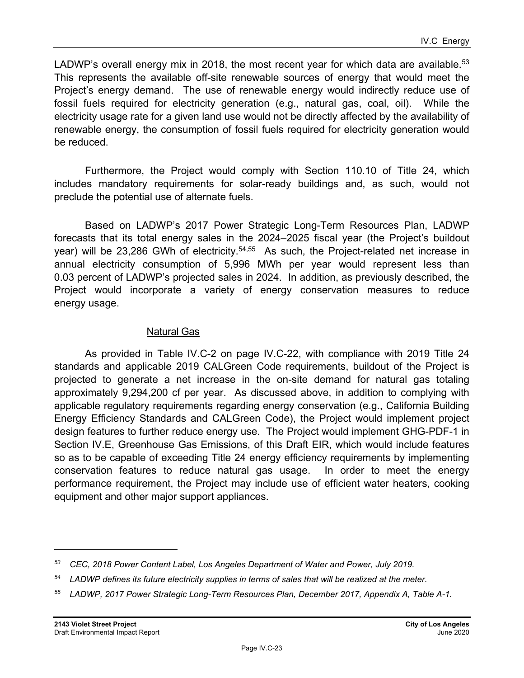LADWP's overall energy mix in 2018, the most recent year for which data are available.<sup>53</sup> This represents the available off-site renewable sources of energy that would meet the Project's energy demand. The use of renewable energy would indirectly reduce use of fossil fuels required for electricity generation (e.g., natural gas, coal, oil). While the electricity usage rate for a given land use would not be directly affected by the availability of renewable energy, the consumption of fossil fuels required for electricity generation would be reduced.

Furthermore, the Project would comply with Section 110.10 of Title 24, which includes mandatory requirements for solar-ready buildings and, as such, would not preclude the potential use of alternate fuels.

Based on LADWP's 2017 Power Strategic Long-Term Resources Plan, LADWP forecasts that its total energy sales in the 2024–2025 fiscal year (the Project's buildout year) will be 23,286 GWh of electricity.<sup>54,55</sup> As such, the Project-related net increase in annual electricity consumption of 5,996 MWh per year would represent less than 0.03 percent of LADWP's projected sales in 2024. In addition, as previously described, the Project would incorporate a variety of energy conservation measures to reduce energy usage.

#### Natural Gas

As provided in Table IV.C-2 on page IV.C-22, with compliance with 2019 Title 24 standards and applicable 2019 CALGreen Code requirements, buildout of the Project is projected to generate a net increase in the on-site demand for natural gas totaling approximately 9,294,200 cf per year. As discussed above, in addition to complying with applicable regulatory requirements regarding energy conservation (e.g., California Building Energy Efficiency Standards and CALGreen Code), the Project would implement project design features to further reduce energy use. The Project would implement GHG-PDF-1 in Section IV.E, Greenhouse Gas Emissions, of this Draft EIR, which would include features so as to be capable of exceeding Title 24 energy efficiency requirements by implementing conservation features to reduce natural gas usage. In order to meet the energy performance requirement, the Project may include use of efficient water heaters, cooking equipment and other major support appliances.

*<sup>53</sup> CEC, 2018 Power Content Label, Los Angeles Department of Water and Power, July 2019.* 

*<sup>54</sup> LADWP defines its future electricity supplies in terms of sales that will be realized at the meter.* 

*<sup>55</sup> LADWP, 2017 Power Strategic Long-Term Resources Plan, December 2017, Appendix A, Table A-1.*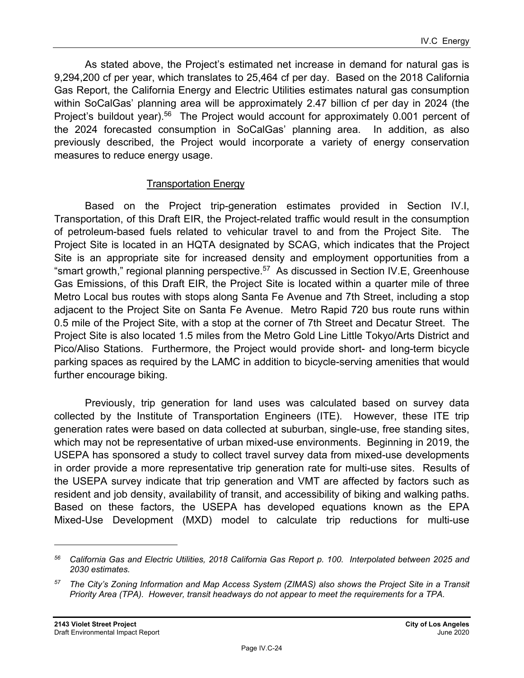As stated above, the Project's estimated net increase in demand for natural gas is 9,294,200 cf per year, which translates to 25,464 cf per day. Based on the 2018 California Gas Report, the California Energy and Electric Utilities estimates natural gas consumption within SoCalGas' planning area will be approximately 2.47 billion cf per day in 2024 (the Project's buildout year).<sup>56</sup> The Project would account for approximately 0.001 percent of the 2024 forecasted consumption in SoCalGas' planning area. In addition, as also previously described, the Project would incorporate a variety of energy conservation measures to reduce energy usage.

#### Transportation Energy

Based on the Project trip-generation estimates provided in Section IV.I, Transportation, of this Draft EIR, the Project-related traffic would result in the consumption of petroleum-based fuels related to vehicular travel to and from the Project Site. The Project Site is located in an HQTA designated by SCAG, which indicates that the Project Site is an appropriate site for increased density and employment opportunities from a "smart growth," regional planning perspective.<sup>57</sup> As discussed in Section IV.E, Greenhouse Gas Emissions, of this Draft EIR, the Project Site is located within a quarter mile of three Metro Local bus routes with stops along Santa Fe Avenue and 7th Street, including a stop adjacent to the Project Site on Santa Fe Avenue. Metro Rapid 720 bus route runs within 0.5 mile of the Project Site, with a stop at the corner of 7th Street and Decatur Street. The Project Site is also located 1.5 miles from the Metro Gold Line Little Tokyo/Arts District and Pico/Aliso Stations. Furthermore, the Project would provide short- and long-term bicycle parking spaces as required by the LAMC in addition to bicycle-serving amenities that would further encourage biking.

Previously, trip generation for land uses was calculated based on survey data collected by the Institute of Transportation Engineers (ITE). However, these ITE trip generation rates were based on data collected at suburban, single-use, free standing sites, which may not be representative of urban mixed-use environments. Beginning in 2019, the USEPA has sponsored a study to collect travel survey data from mixed-use developments in order provide a more representative trip generation rate for multi-use sites. Results of the USEPA survey indicate that trip generation and VMT are affected by factors such as resident and job density, availability of transit, and accessibility of biking and walking paths. Based on these factors, the USEPA has developed equations known as the EPA Mixed-Use Development (MXD) model to calculate trip reductions for multi-use

*<sup>56</sup> California Gas and Electric Utilities, 2018 California Gas Report p. 100. Interpolated between 2025 and 2030 estimates.* 

*<sup>57</sup> The City's Zoning Information and Map Access System (ZIMAS) also shows the Project Site in a Transit Priority Area (TPA). However, transit headways do not appear to meet the requirements for a TPA.*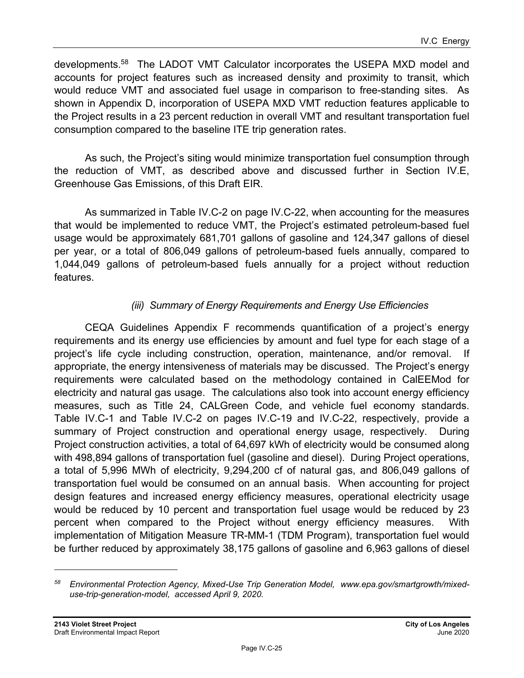developments.58 The LADOT VMT Calculator incorporates the USEPA MXD model and accounts for project features such as increased density and proximity to transit, which would reduce VMT and associated fuel usage in comparison to free-standing sites. As shown in Appendix D, incorporation of USEPA MXD VMT reduction features applicable to the Project results in a 23 percent reduction in overall VMT and resultant transportation fuel consumption compared to the baseline ITE trip generation rates.

As such, the Project's siting would minimize transportation fuel consumption through the reduction of VMT, as described above and discussed further in Section IV.E, Greenhouse Gas Emissions, of this Draft EIR.

As summarized in Table IV.C-2 on page IV.C-22, when accounting for the measures that would be implemented to reduce VMT, the Project's estimated petroleum-based fuel usage would be approximately 681,701 gallons of gasoline and 124,347 gallons of diesel per year, or a total of 806,049 gallons of petroleum-based fuels annually, compared to 1,044,049 gallons of petroleum-based fuels annually for a project without reduction features.

#### *(iii) Summary of Energy Requirements and Energy Use Efficiencies*

CEQA Guidelines Appendix F recommends quantification of a project's energy requirements and its energy use efficiencies by amount and fuel type for each stage of a project's life cycle including construction, operation, maintenance, and/or removal. If appropriate, the energy intensiveness of materials may be discussed. The Project's energy requirements were calculated based on the methodology contained in CalEEMod for electricity and natural gas usage. The calculations also took into account energy efficiency measures, such as Title 24, CALGreen Code, and vehicle fuel economy standards. Table IV.C-1 and Table IV.C-2 on pages IV.C-19 and IV.C-22, respectively, provide a summary of Project construction and operational energy usage, respectively. During Project construction activities, a total of 64,697 kWh of electricity would be consumed along with 498,894 gallons of transportation fuel (gasoline and diesel). During Project operations, a total of 5,996 MWh of electricity, 9,294,200 cf of natural gas, and 806,049 gallons of transportation fuel would be consumed on an annual basis. When accounting for project design features and increased energy efficiency measures, operational electricity usage would be reduced by 10 percent and transportation fuel usage would be reduced by 23 percent when compared to the Project without energy efficiency measures. With implementation of Mitigation Measure TR-MM-1 (TDM Program), transportation fuel would be further reduced by approximately 38,175 gallons of gasoline and 6,963 gallons of diesel

*<sup>58</sup> Environmental Protection Agency, Mixed-Use Trip Generation Model, www.epa.gov/smartgrowth/mixeduse-trip-generation-model, accessed April 9, 2020.*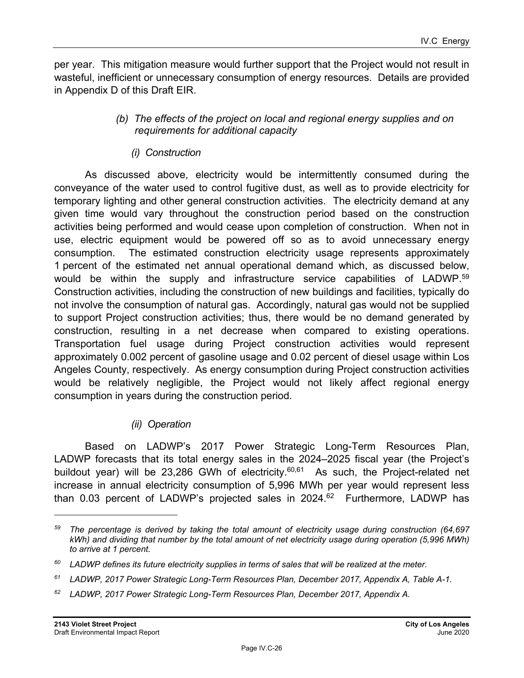per year. This mitigation measure would further support that the Project would not result in wasteful, inefficient or unnecessary consumption of energy resources. Details are provided in Appendix D of this Draft EIR.

#### *(b) The effects of the project on local and regional energy supplies and on requirements for additional capacity*

#### *(i) Construction*

As discussed above, electricity would be intermittently consumed during the conveyance of the water used to control fugitive dust, as well as to provide electricity for temporary lighting and other general construction activities. The electricity demand at any given time would vary throughout the construction period based on the construction activities being performed and would cease upon completion of construction. When not in use, electric equipment would be powered off so as to avoid unnecessary energy consumption. The estimated construction electricity usage represents approximately 1 percent of the estimated net annual operational demand which, as discussed below, would be within the supply and infrastructure service capabilities of LADWP.<sup>59</sup> Construction activities, including the construction of new buildings and facilities, typically do not involve the consumption of natural gas. Accordingly, natural gas would not be supplied to support Project construction activities; thus, there would be no demand generated by construction, resulting in a net decrease when compared to existing operations. Transportation fuel usage during Project construction activities would represent approximately 0.002 percent of gasoline usage and 0.02 percent of diesel usage within Los Angeles County, respectively. As energy consumption during Project construction activities would be relatively negligible, the Project would not likely affect regional energy consumption in years during the construction period.

### *(ii) Operation*

Based on LADWP's 2017 Power Strategic Long-Term Resources Plan, LADWP forecasts that its total energy sales in the 2024–2025 fiscal year (the Project's buildout year) will be 23,286 GWh of electricity.<sup>60,61</sup> As such, the Project-related net increase in annual electricity consumption of 5,996 MWh per year would represent less than 0.03 percent of LADWP's projected sales in  $2024.<sup>62</sup>$  Furthermore, LADWP has

*<sup>59</sup> The percentage is derived by taking the total amount of electricity usage during construction (64,697 kWh) and dividing that number by the total amount of net electricity usage during operation (5,996 MWh) to arrive at 1 percent.* 

*<sup>60</sup> LADWP defines its future electricity supplies in terms of sales that will be realized at the meter.* 

*<sup>61</sup> LADWP, 2017 Power Strategic Long-Term Resources Plan, December 2017, Appendix A, Table A-1.* 

*<sup>62</sup> LADWP, 2017 Power Strategic Long-Term Resources Plan, December 2017, Appendix A.*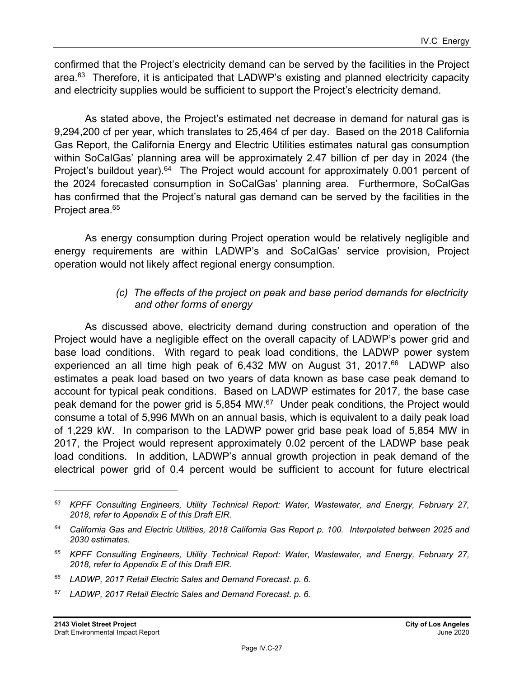confirmed that the Project's electricity demand can be served by the facilities in the Project area. $63$  Therefore, it is anticipated that LADWP's existing and planned electricity capacity and electricity supplies would be sufficient to support the Project's electricity demand.

As stated above, the Project's estimated net decrease in demand for natural gas is 9,294,200 cf per year, which translates to 25,464 cf per day. Based on the 2018 California Gas Report, the California Energy and Electric Utilities estimates natural gas consumption within SoCalGas' planning area will be approximately 2.47 billion cf per day in 2024 (the Project's buildout year).<sup>64</sup> The Project would account for approximately 0.001 percent of the 2024 forecasted consumption in SoCalGas' planning area. Furthermore, SoCalGas has confirmed that the Project's natural gas demand can be served by the facilities in the Project area.<sup>65</sup>

As energy consumption during Project operation would be relatively negligible and energy requirements are within LADWP's and SoCalGas' service provision, Project operation would not likely affect regional energy consumption.

#### *(c) The effects of the project on peak and base period demands for electricity and other forms of energy*

As discussed above, electricity demand during construction and operation of the Project would have a negligible effect on the overall capacity of LADWP's power grid and base load conditions. With regard to peak load conditions, the LADWP power system experienced an all time high peak of 6,432 MW on August 31, 2017.<sup>66</sup> LADWP also estimates a peak load based on two years of data known as base case peak demand to account for typical peak conditions. Based on LADWP estimates for 2017, the base case peak demand for the power grid is 5,854 MW.<sup>67</sup> Under peak conditions, the Project would consume a total of 5,996 MWh on an annual basis, which is equivalent to a daily peak load of 1,229 kW. In comparison to the LADWP power grid base peak load of 5,854 MW in 2017, the Project would represent approximately 0.02 percent of the LADWP base peak load conditions. In addition, LADWP's annual growth projection in peak demand of the electrical power grid of 0.4 percent would be sufficient to account for future electrical

*<sup>63</sup> KPFF Consulting Engineers, Utility Technical Report: Water, Wastewater, and Energy, February 27, 2018, refer to Appendix E of this Draft EIR.* 

*<sup>64</sup> California Gas and Electric Utilities, 2018 California Gas Report p. 100. Interpolated between 2025 and 2030 estimates.* 

*<sup>65</sup> KPFF Consulting Engineers, Utility Technical Report: Water, Wastewater, and Energy, February 27, 2018, refer to Appendix E of this Draft EIR.* 

*<sup>66</sup> LADWP, 2017 Retail Electric Sales and Demand Forecast. p. 6.* 

*<sup>67</sup> LADWP, 2017 Retail Electric Sales and Demand Forecast. p. 6.*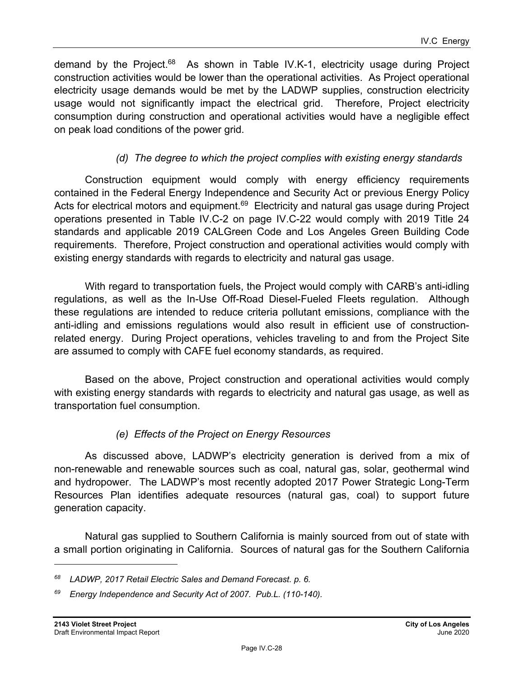demand by the Project.<sup>68</sup> As shown in Table IV.K-1, electricity usage during Project construction activities would be lower than the operational activities. As Project operational electricity usage demands would be met by the LADWP supplies, construction electricity usage would not significantly impact the electrical grid. Therefore, Project electricity consumption during construction and operational activities would have a negligible effect on peak load conditions of the power grid.

### *(d) The degree to which the project complies with existing energy standards*

Construction equipment would comply with energy efficiency requirements contained in the Federal Energy Independence and Security Act or previous Energy Policy Acts for electrical motors and equipment.<sup>69</sup> Electricity and natural gas usage during Project operations presented in Table IV.C-2 on page IV.C-22 would comply with 2019 Title 24 standards and applicable 2019 CALGreen Code and Los Angeles Green Building Code requirements. Therefore, Project construction and operational activities would comply with existing energy standards with regards to electricity and natural gas usage.

With regard to transportation fuels, the Project would comply with CARB's anti-idling regulations, as well as the In-Use Off-Road Diesel-Fueled Fleets regulation. Although these regulations are intended to reduce criteria pollutant emissions, compliance with the anti-idling and emissions regulations would also result in efficient use of constructionrelated energy. During Project operations, vehicles traveling to and from the Project Site are assumed to comply with CAFE fuel economy standards, as required.

Based on the above, Project construction and operational activities would comply with existing energy standards with regards to electricity and natural gas usage, as well as transportation fuel consumption.

### *(e) Effects of the Project on Energy Resources*

As discussed above, LADWP's electricity generation is derived from a mix of non-renewable and renewable sources such as coal, natural gas, solar, geothermal wind and hydropower. The LADWP's most recently adopted 2017 Power Strategic Long-Term Resources Plan identifies adequate resources (natural gas, coal) to support future generation capacity.

Natural gas supplied to Southern California is mainly sourced from out of state with a small portion originating in California. Sources of natural gas for the Southern California

*<sup>68</sup> LADWP, 2017 Retail Electric Sales and Demand Forecast. p. 6.* 

*<sup>69</sup> Energy Independence and Security Act of 2007. Pub.L. (110-140).*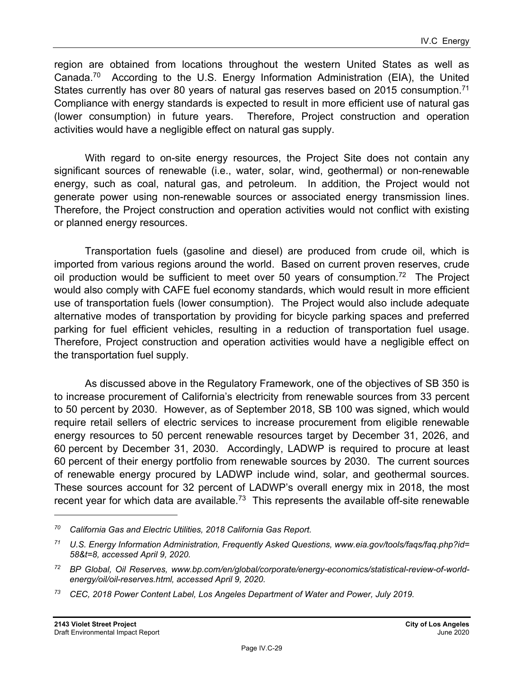region are obtained from locations throughout the western United States as well as Canada.70 According to the U.S. Energy Information Administration (EIA), the United States currently has over 80 years of natural gas reserves based on 2015 consumption.<sup>71</sup> Compliance with energy standards is expected to result in more efficient use of natural gas (lower consumption) in future years. Therefore, Project construction and operation activities would have a negligible effect on natural gas supply.

With regard to on-site energy resources, the Project Site does not contain any significant sources of renewable (i.e., water, solar, wind, geothermal) or non-renewable energy, such as coal, natural gas, and petroleum. In addition, the Project would not generate power using non-renewable sources or associated energy transmission lines. Therefore, the Project construction and operation activities would not conflict with existing or planned energy resources.

Transportation fuels (gasoline and diesel) are produced from crude oil, which is imported from various regions around the world. Based on current proven reserves, crude oil production would be sufficient to meet over 50 years of consumption.<sup>72</sup> The Project would also comply with CAFE fuel economy standards, which would result in more efficient use of transportation fuels (lower consumption). The Project would also include adequate alternative modes of transportation by providing for bicycle parking spaces and preferred parking for fuel efficient vehicles, resulting in a reduction of transportation fuel usage. Therefore, Project construction and operation activities would have a negligible effect on the transportation fuel supply.

As discussed above in the Regulatory Framework, one of the objectives of SB 350 is to increase procurement of California's electricity from renewable sources from 33 percent to 50 percent by 2030. However, as of September 2018, SB 100 was signed, which would require retail sellers of electric services to increase procurement from eligible renewable energy resources to 50 percent renewable resources target by December 31, 2026, and 60 percent by December 31, 2030. Accordingly, LADWP is required to procure at least 60 percent of their energy portfolio from renewable sources by 2030. The current sources of renewable energy procured by LADWP include wind, solar, and geothermal sources. These sources account for 32 percent of LADWP's overall energy mix in 2018, the most recent year for which data are available.<sup>73</sup> This represents the available off-site renewable

*<sup>70</sup> California Gas and Electric Utilities, 2018 California Gas Report.* 

*<sup>71</sup> U.S. Energy Information Administration, Frequently Asked Questions, www.eia.gov/tools/faqs/faq.php?id= 58&t=8, accessed April 9, 2020.* 

*<sup>72</sup> BP Global, Oil Reserves, www.bp.com/en/global/corporate/energy-economics/statistical-review-of-worldenergy/oil/oil-reserves.html, accessed April 9, 2020.* 

*<sup>73</sup> CEC, 2018 Power Content Label, Los Angeles Department of Water and Power, July 2019.*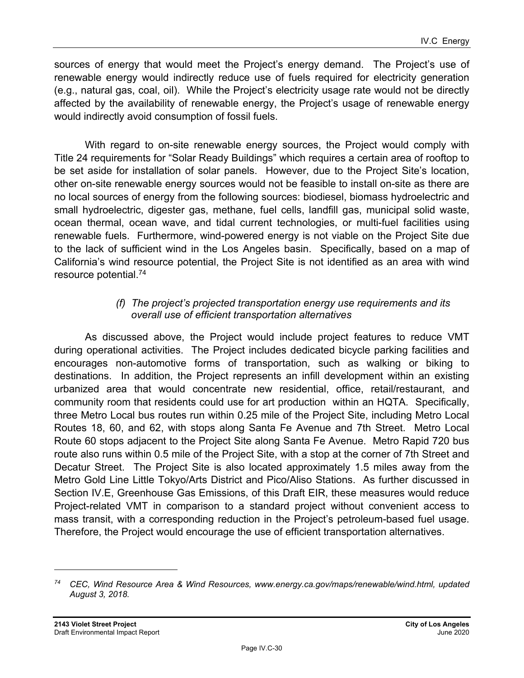sources of energy that would meet the Project's energy demand. The Project's use of renewable energy would indirectly reduce use of fuels required for electricity generation (e.g., natural gas, coal, oil). While the Project's electricity usage rate would not be directly affected by the availability of renewable energy, the Project's usage of renewable energy would indirectly avoid consumption of fossil fuels.

With regard to on-site renewable energy sources, the Project would comply with Title 24 requirements for "Solar Ready Buildings" which requires a certain area of rooftop to be set aside for installation of solar panels. However, due to the Project Site's location, other on-site renewable energy sources would not be feasible to install on-site as there are no local sources of energy from the following sources: biodiesel, biomass hydroelectric and small hydroelectric, digester gas, methane, fuel cells, landfill gas, municipal solid waste, ocean thermal, ocean wave, and tidal current technologies, or multi-fuel facilities using renewable fuels. Furthermore, wind-powered energy is not viable on the Project Site due to the lack of sufficient wind in the Los Angeles basin. Specifically, based on a map of California's wind resource potential, the Project Site is not identified as an area with wind resource potential.74

#### *(f) The project's projected transportation energy use requirements and its overall use of efficient transportation alternatives*

As discussed above, the Project would include project features to reduce VMT during operational activities. The Project includes dedicated bicycle parking facilities and encourages non-automotive forms of transportation, such as walking or biking to destinations. In addition, the Project represents an infill development within an existing urbanized area that would concentrate new residential, office, retail/restaurant, and community room that residents could use for art production within an HQTA. Specifically, three Metro Local bus routes run within 0.25 mile of the Project Site, including Metro Local Routes 18, 60, and 62, with stops along Santa Fe Avenue and 7th Street. Metro Local Route 60 stops adjacent to the Project Site along Santa Fe Avenue. Metro Rapid 720 bus route also runs within 0.5 mile of the Project Site, with a stop at the corner of 7th Street and Decatur Street. The Project Site is also located approximately 1.5 miles away from the Metro Gold Line Little Tokyo/Arts District and Pico/Aliso Stations. As further discussed in Section IV.E, Greenhouse Gas Emissions, of this Draft EIR, these measures would reduce Project-related VMT in comparison to a standard project without convenient access to mass transit, with a corresponding reduction in the Project's petroleum-based fuel usage. Therefore, the Project would encourage the use of efficient transportation alternatives.

*<sup>74</sup> CEC, Wind Resource Area & Wind Resources, www.energy.ca.gov/maps/renewable/wind.html, updated August 3, 2018.*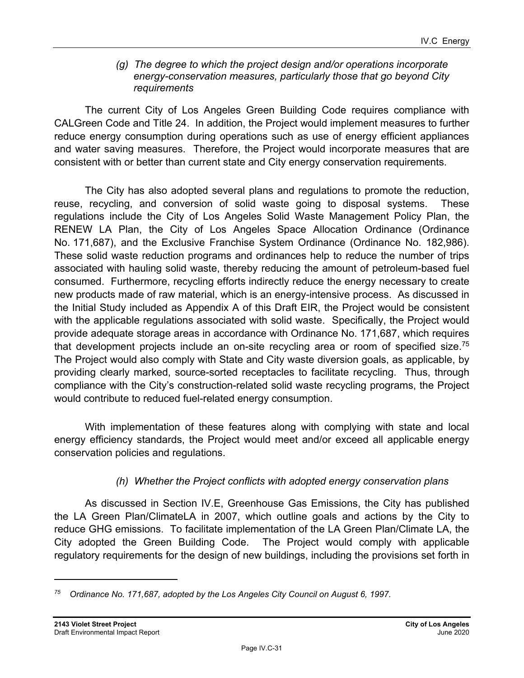#### *(g) The degree to which the project design and/or operations incorporate energy-conservation measures, particularly those that go beyond City requirements*

The current City of Los Angeles Green Building Code requires compliance with CALGreen Code and Title 24. In addition, the Project would implement measures to further reduce energy consumption during operations such as use of energy efficient appliances and water saving measures. Therefore, the Project would incorporate measures that are consistent with or better than current state and City energy conservation requirements.

The City has also adopted several plans and regulations to promote the reduction, reuse, recycling, and conversion of solid waste going to disposal systems. These regulations include the City of Los Angeles Solid Waste Management Policy Plan, the RENEW LA Plan, the City of Los Angeles Space Allocation Ordinance (Ordinance No. 171,687), and the Exclusive Franchise System Ordinance (Ordinance No. 182,986). These solid waste reduction programs and ordinances help to reduce the number of trips associated with hauling solid waste, thereby reducing the amount of petroleum-based fuel consumed. Furthermore, recycling efforts indirectly reduce the energy necessary to create new products made of raw material, which is an energy-intensive process. As discussed in the Initial Study included as Appendix A of this Draft EIR, the Project would be consistent with the applicable regulations associated with solid waste. Specifically, the Project would provide adequate storage areas in accordance with Ordinance No. 171,687, which requires that development projects include an on-site recycling area or room of specified size.<sup>75</sup> The Project would also comply with State and City waste diversion goals, as applicable, by providing clearly marked, source-sorted receptacles to facilitate recycling. Thus, through compliance with the City's construction-related solid waste recycling programs, the Project would contribute to reduced fuel-related energy consumption.

With implementation of these features along with complying with state and local energy efficiency standards, the Project would meet and/or exceed all applicable energy conservation policies and regulations.

#### *(h) Whether the Project conflicts with adopted energy conservation plans*

As discussed in Section IV.E, Greenhouse Gas Emissions, the City has published the LA Green Plan/ClimateLA in 2007, which outline goals and actions by the City to reduce GHG emissions. To facilitate implementation of the LA Green Plan/Climate LA, the City adopted the Green Building Code. The Project would comply with applicable regulatory requirements for the design of new buildings, including the provisions set forth in

*<sup>75</sup> Ordinance No. 171,687, adopted by the Los Angeles City Council on August 6, 1997.*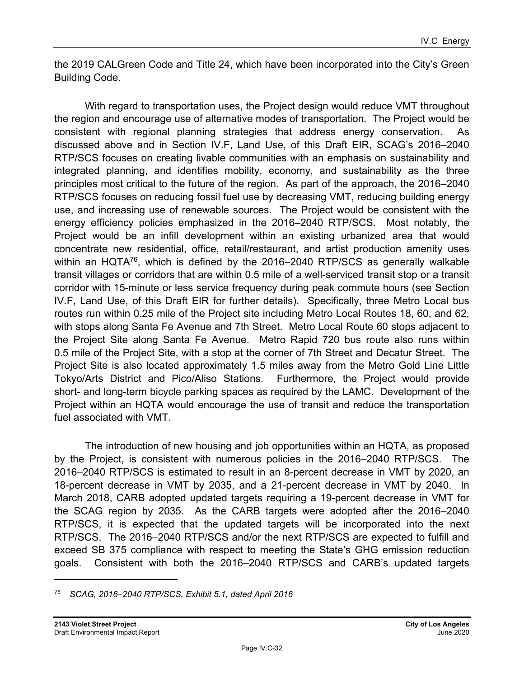the 2019 CALGreen Code and Title 24, which have been incorporated into the City's Green Building Code.

With regard to transportation uses, the Project design would reduce VMT throughout the region and encourage use of alternative modes of transportation. The Project would be consistent with regional planning strategies that address energy conservation. As discussed above and in Section IV.F, Land Use, of this Draft EIR, SCAG's 2016–2040 RTP/SCS focuses on creating livable communities with an emphasis on sustainability and integrated planning, and identifies mobility, economy, and sustainability as the three principles most critical to the future of the region. As part of the approach, the 2016–2040 RTP/SCS focuses on reducing fossil fuel use by decreasing VMT, reducing building energy use, and increasing use of renewable sources. The Project would be consistent with the energy efficiency policies emphasized in the 2016–2040 RTP/SCS. Most notably, the Project would be an infill development within an existing urbanized area that would concentrate new residential, office, retail/restaurant, and artist production amenity uses within an HQTA<sup>76</sup>, which is defined by the 2016–2040 RTP/SCS as generally walkable transit villages or corridors that are within 0.5 mile of a well-serviced transit stop or a transit corridor with 15-minute or less service frequency during peak commute hours (see Section IV.F, Land Use, of this Draft EIR for further details). Specifically, three Metro Local bus routes run within 0.25 mile of the Project site including Metro Local Routes 18, 60, and 62, with stops along Santa Fe Avenue and 7th Street. Metro Local Route 60 stops adjacent to the Project Site along Santa Fe Avenue. Metro Rapid 720 bus route also runs within 0.5 mile of the Project Site, with a stop at the corner of 7th Street and Decatur Street. The Project Site is also located approximately 1.5 miles away from the Metro Gold Line Little Tokyo/Arts District and Pico/Aliso Stations. Furthermore, the Project would provide short- and long-term bicycle parking spaces as required by the LAMC. Development of the Project within an HQTA would encourage the use of transit and reduce the transportation fuel associated with VMT.

The introduction of new housing and job opportunities within an HQTA, as proposed by the Project, is consistent with numerous policies in the 2016–2040 RTP/SCS. The 2016–2040 RTP/SCS is estimated to result in an 8-percent decrease in VMT by 2020, an 18-percent decrease in VMT by 2035, and a 21-percent decrease in VMT by 2040. In March 2018, CARB adopted updated targets requiring a 19-percent decrease in VMT for the SCAG region by 2035. As the CARB targets were adopted after the 2016–2040 RTP/SCS, it is expected that the updated targets will be incorporated into the next RTP/SCS. The 2016–2040 RTP/SCS and/or the next RTP/SCS are expected to fulfill and exceed SB 375 compliance with respect to meeting the State's GHG emission reduction goals. Consistent with both the 2016–2040 RTP/SCS and CARB's updated targets

*<sup>76</sup> SCAG, 2016–2040 RTP/SCS, Exhibit 5.1, dated April 2016*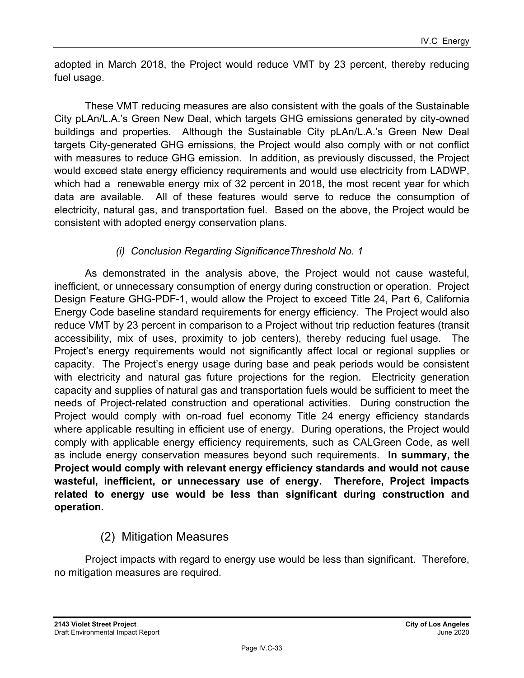adopted in March 2018, the Project would reduce VMT by 23 percent, thereby reducing fuel usage.

These VMT reducing measures are also consistent with the goals of the Sustainable City pLAn/L.A.'s Green New Deal, which targets GHG emissions generated by city-owned buildings and properties. Although the Sustainable City pLAn/L.A.'s Green New Deal targets City-generated GHG emissions, the Project would also comply with or not conflict with measures to reduce GHG emission. In addition, as previously discussed, the Project would exceed state energy efficiency requirements and would use electricity from LADWP, which had a renewable energy mix of 32 percent in 2018, the most recent year for which data are available. All of these features would serve to reduce the consumption of electricity, natural gas, and transportation fuel. Based on the above, the Project would be consistent with adopted energy conservation plans.

## *(i) Conclusion Regarding SignificanceThreshold No. 1*

As demonstrated in the analysis above, the Project would not cause wasteful, inefficient, or unnecessary consumption of energy during construction or operation. Project Design Feature GHG-PDF-1, would allow the Project to exceed Title 24, Part 6, California Energy Code baseline standard requirements for energy efficiency. The Project would also reduce VMT by 23 percent in comparison to a Project without trip reduction features (transit accessibility, mix of uses, proximity to job centers), thereby reducing fuel usage. The Project's energy requirements would not significantly affect local or regional supplies or capacity. The Project's energy usage during base and peak periods would be consistent with electricity and natural gas future projections for the region. Electricity generation capacity and supplies of natural gas and transportation fuels would be sufficient to meet the needs of Project-related construction and operational activities. During construction the Project would comply with on-road fuel economy Title 24 energy efficiency standards where applicable resulting in efficient use of energy. During operations, the Project would comply with applicable energy efficiency requirements, such as CALGreen Code, as well as include energy conservation measures beyond such requirements. **In summary, the Project would comply with relevant energy efficiency standards and would not cause wasteful, inefficient, or unnecessary use of energy. Therefore, Project impacts related to energy use would be less than significant during construction and operation.** 

## (2) Mitigation Measures

Project impacts with regard to energy use would be less than significant. Therefore, no mitigation measures are required.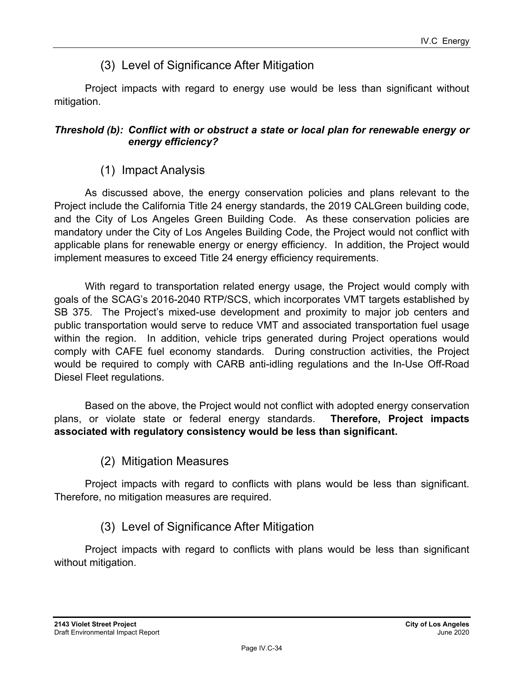## (3) Level of Significance After Mitigation

Project impacts with regard to energy use would be less than significant without mitigation.

#### *Threshold (b): Conflict with or obstruct a state or local plan for renewable energy or energy efficiency?*

## (1) Impact Analysis

As discussed above, the energy conservation policies and plans relevant to the Project include the California Title 24 energy standards, the 2019 CALGreen building code, and the City of Los Angeles Green Building Code. As these conservation policies are mandatory under the City of Los Angeles Building Code, the Project would not conflict with applicable plans for renewable energy or energy efficiency. In addition, the Project would implement measures to exceed Title 24 energy efficiency requirements.

With regard to transportation related energy usage, the Project would comply with goals of the SCAG's 2016-2040 RTP/SCS, which incorporates VMT targets established by SB 375. The Project's mixed-use development and proximity to major job centers and public transportation would serve to reduce VMT and associated transportation fuel usage within the region. In addition, vehicle trips generated during Project operations would comply with CAFE fuel economy standards. During construction activities, the Project would be required to comply with CARB anti-idling regulations and the In-Use Off-Road Diesel Fleet regulations.

Based on the above, the Project would not conflict with adopted energy conservation plans, or violate state or federal energy standards. **Therefore, Project impacts associated with regulatory consistency would be less than significant.** 

(2) Mitigation Measures

Project impacts with regard to conflicts with plans would be less than significant. Therefore, no mitigation measures are required.

## (3) Level of Significance After Mitigation

Project impacts with regard to conflicts with plans would be less than significant without mitigation.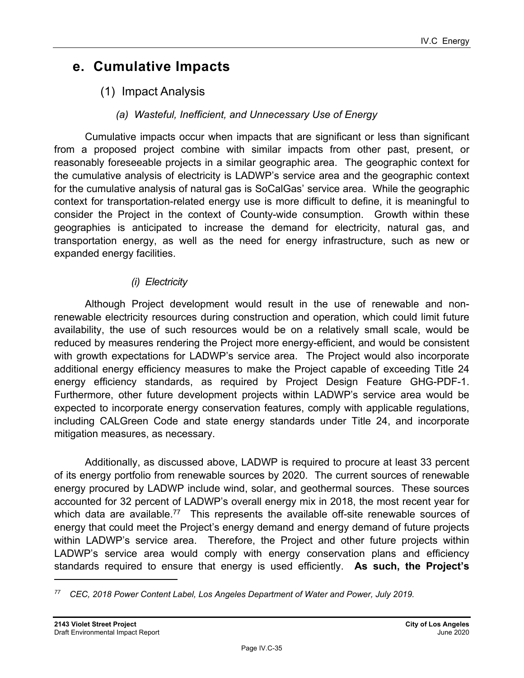## **e. Cumulative Impacts**

- (1) Impact Analysis
	- *(a) Wasteful, Inefficient, and Unnecessary Use of Energy*

Cumulative impacts occur when impacts that are significant or less than significant from a proposed project combine with similar impacts from other past, present, or reasonably foreseeable projects in a similar geographic area. The geographic context for the cumulative analysis of electricity is LADWP's service area and the geographic context for the cumulative analysis of natural gas is SoCalGas' service area. While the geographic context for transportation-related energy use is more difficult to define, it is meaningful to consider the Project in the context of County-wide consumption. Growth within these geographies is anticipated to increase the demand for electricity, natural gas, and transportation energy, as well as the need for energy infrastructure, such as new or expanded energy facilities.

#### *(i) Electricity*

Although Project development would result in the use of renewable and nonrenewable electricity resources during construction and operation, which could limit future availability, the use of such resources would be on a relatively small scale, would be reduced by measures rendering the Project more energy-efficient, and would be consistent with growth expectations for LADWP's service area. The Project would also incorporate additional energy efficiency measures to make the Project capable of exceeding Title 24 energy efficiency standards, as required by Project Design Feature GHG-PDF-1. Furthermore, other future development projects within LADWP's service area would be expected to incorporate energy conservation features, comply with applicable regulations, including CALGreen Code and state energy standards under Title 24, and incorporate mitigation measures, as necessary.

Additionally, as discussed above, LADWP is required to procure at least 33 percent of its energy portfolio from renewable sources by 2020. The current sources of renewable energy procured by LADWP include wind, solar, and geothermal sources. These sources accounted for 32 percent of LADWP's overall energy mix in 2018, the most recent year for which data are available.<sup>77</sup> This represents the available off-site renewable sources of energy that could meet the Project's energy demand and energy demand of future projects within LADWP's service area. Therefore, the Project and other future projects within LADWP's service area would comply with energy conservation plans and efficiency standards required to ensure that energy is used efficiently. **As such, the Project's** 

*<sup>77</sup> CEC, 2018 Power Content Label, Los Angeles Department of Water and Power, July 2019.*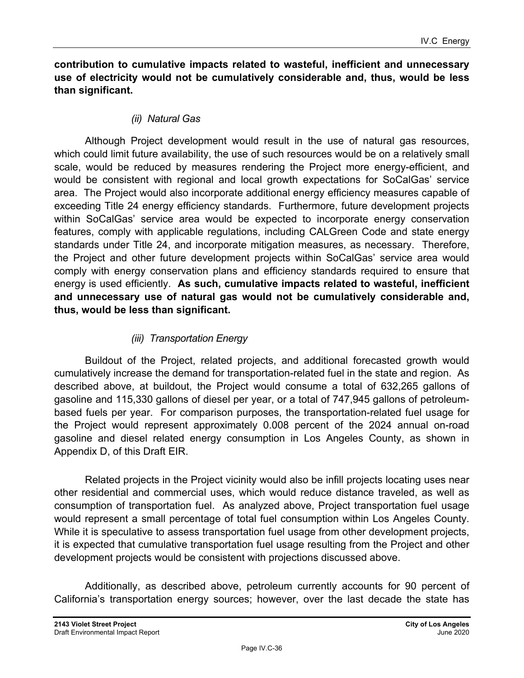**contribution to cumulative impacts related to wasteful, inefficient and unnecessary use of electricity would not be cumulatively considerable and, thus, would be less than significant.**

#### *(ii) Natural Gas*

Although Project development would result in the use of natural gas resources, which could limit future availability, the use of such resources would be on a relatively small scale, would be reduced by measures rendering the Project more energy-efficient, and would be consistent with regional and local growth expectations for SoCalGas' service area. The Project would also incorporate additional energy efficiency measures capable of exceeding Title 24 energy efficiency standards. Furthermore, future development projects within SoCalGas' service area would be expected to incorporate energy conservation features, comply with applicable regulations, including CALGreen Code and state energy standards under Title 24, and incorporate mitigation measures, as necessary. Therefore, the Project and other future development projects within SoCalGas' service area would comply with energy conservation plans and efficiency standards required to ensure that energy is used efficiently. **As such, cumulative impacts related to wasteful, inefficient and unnecessary use of natural gas would not be cumulatively considerable and, thus, would be less than significant.**

#### *(iii) Transportation Energy*

Buildout of the Project, related projects, and additional forecasted growth would cumulatively increase the demand for transportation-related fuel in the state and region. As described above, at buildout, the Project would consume a total of 632,265 gallons of gasoline and 115,330 gallons of diesel per year, or a total of 747,945 gallons of petroleumbased fuels per year. For comparison purposes, the transportation-related fuel usage for the Project would represent approximately 0.008 percent of the 2024 annual on-road gasoline and diesel related energy consumption in Los Angeles County, as shown in Appendix D, of this Draft EIR.

Related projects in the Project vicinity would also be infill projects locating uses near other residential and commercial uses, which would reduce distance traveled, as well as consumption of transportation fuel. As analyzed above, Project transportation fuel usage would represent a small percentage of total fuel consumption within Los Angeles County. While it is speculative to assess transportation fuel usage from other development projects, it is expected that cumulative transportation fuel usage resulting from the Project and other development projects would be consistent with projections discussed above.

Additionally, as described above, petroleum currently accounts for 90 percent of California's transportation energy sources; however, over the last decade the state has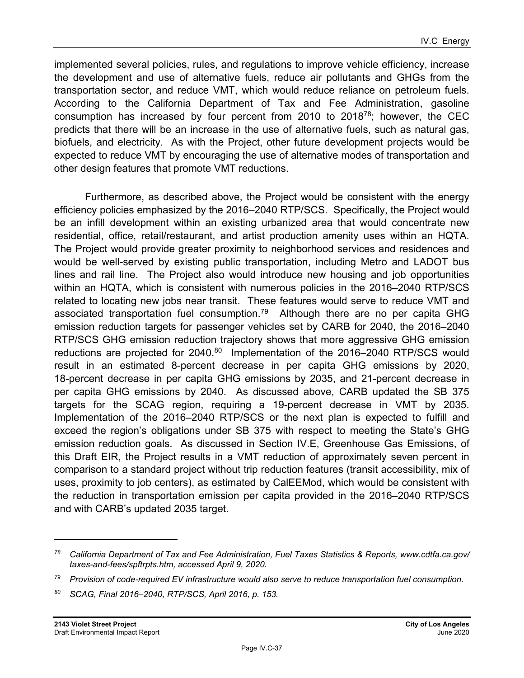implemented several policies, rules, and regulations to improve vehicle efficiency, increase the development and use of alternative fuels, reduce air pollutants and GHGs from the transportation sector, and reduce VMT, which would reduce reliance on petroleum fuels. According to the California Department of Tax and Fee Administration, gasoline consumption has increased by four percent from 2010 to  $2018^{78}$ ; however, the CEC predicts that there will be an increase in the use of alternative fuels, such as natural gas, biofuels, and electricity. As with the Project, other future development projects would be expected to reduce VMT by encouraging the use of alternative modes of transportation and other design features that promote VMT reductions.

Furthermore, as described above, the Project would be consistent with the energy efficiency policies emphasized by the 2016–2040 RTP/SCS. Specifically, the Project would be an infill development within an existing urbanized area that would concentrate new residential, office, retail/restaurant, and artist production amenity uses within an HQTA. The Project would provide greater proximity to neighborhood services and residences and would be well-served by existing public transportation, including Metro and LADOT bus lines and rail line. The Project also would introduce new housing and job opportunities within an HQTA, which is consistent with numerous policies in the 2016–2040 RTP/SCS related to locating new jobs near transit. These features would serve to reduce VMT and associated transportation fuel consumption.<sup>79</sup> Although there are no per capita GHG emission reduction targets for passenger vehicles set by CARB for 2040, the 2016–2040 RTP/SCS GHG emission reduction trajectory shows that more aggressive GHG emission reductions are projected for 2040.<sup>80</sup> Implementation of the 2016–2040 RTP/SCS would result in an estimated 8-percent decrease in per capita GHG emissions by 2020, 18-percent decrease in per capita GHG emissions by 2035, and 21-percent decrease in per capita GHG emissions by 2040. As discussed above, CARB updated the SB 375 targets for the SCAG region, requiring a 19-percent decrease in VMT by 2035. Implementation of the 2016–2040 RTP/SCS or the next plan is expected to fulfill and exceed the region's obligations under SB 375 with respect to meeting the State's GHG emission reduction goals. As discussed in Section IV.E, Greenhouse Gas Emissions, of this Draft EIR, the Project results in a VMT reduction of approximately seven percent in comparison to a standard project without trip reduction features (transit accessibility, mix of uses, proximity to job centers), as estimated by CalEEMod, which would be consistent with the reduction in transportation emission per capita provided in the 2016–2040 RTP/SCS and with CARB's updated 2035 target.

*<sup>78</sup> California Department of Tax and Fee Administration, Fuel Taxes Statistics & Reports, www.cdtfa.ca.gov/ taxes-and-fees/spftrpts.htm, accessed April 9, 2020.* 

*<sup>79</sup> Provision of code-required EV infrastructure would also serve to reduce transportation fuel consumption.* 

*<sup>80</sup> SCAG, Final 2016–2040, RTP/SCS, April 2016, p. 153.*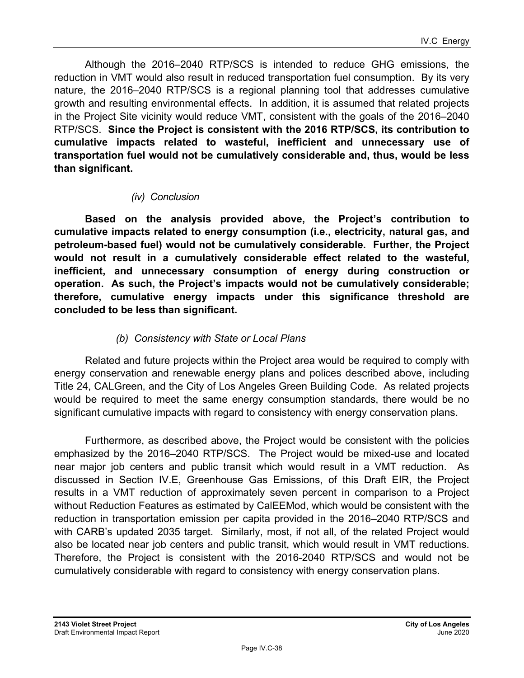Although the 2016–2040 RTP/SCS is intended to reduce GHG emissions, the reduction in VMT would also result in reduced transportation fuel consumption. By its very nature, the 2016–2040 RTP/SCS is a regional planning tool that addresses cumulative growth and resulting environmental effects. In addition, it is assumed that related projects in the Project Site vicinity would reduce VMT, consistent with the goals of the 2016–2040 RTP/SCS. **Since the Project is consistent with the 2016 RTP/SCS, its contribution to cumulative impacts related to wasteful, inefficient and unnecessary use of transportation fuel would not be cumulatively considerable and, thus, would be less than significant.**

#### *(iv) Conclusion*

**Based on the analysis provided above, the Project's contribution to cumulative impacts related to energy consumption (i.e., electricity, natural gas, and petroleum-based fuel) would not be cumulatively considerable. Further, the Project would not result in a cumulatively considerable effect related to the wasteful, inefficient, and unnecessary consumption of energy during construction or operation. As such, the Project's impacts would not be cumulatively considerable; therefore, cumulative energy impacts under this significance threshold are concluded to be less than significant.** 

#### *(b) Consistency with State or Local Plans*

Related and future projects within the Project area would be required to comply with energy conservation and renewable energy plans and polices described above, including Title 24, CALGreen, and the City of Los Angeles Green Building Code. As related projects would be required to meet the same energy consumption standards, there would be no significant cumulative impacts with regard to consistency with energy conservation plans.

Furthermore, as described above, the Project would be consistent with the policies emphasized by the 2016–2040 RTP/SCS. The Project would be mixed-use and located near major job centers and public transit which would result in a VMT reduction. As discussed in Section IV.E, Greenhouse Gas Emissions, of this Draft EIR, the Project results in a VMT reduction of approximately seven percent in comparison to a Project without Reduction Features as estimated by CalEEMod, which would be consistent with the reduction in transportation emission per capita provided in the 2016–2040 RTP/SCS and with CARB's updated 2035 target. Similarly, most, if not all, of the related Project would also be located near job centers and public transit, which would result in VMT reductions. Therefore, the Project is consistent with the 2016-2040 RTP/SCS and would not be cumulatively considerable with regard to consistency with energy conservation plans.